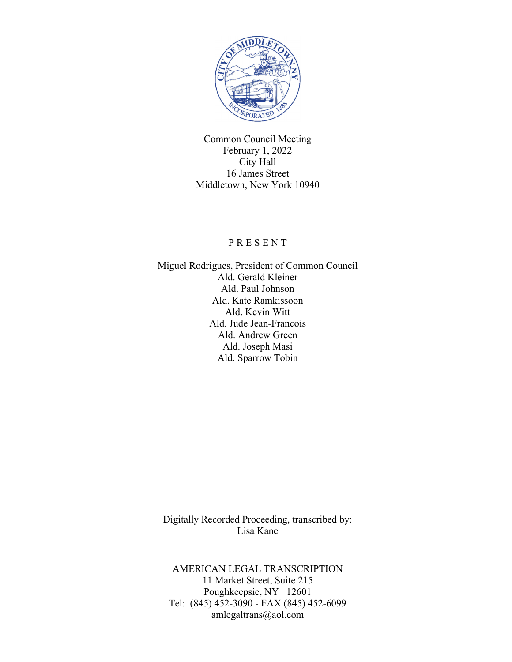

Common Council Meeting February 1, 2022 City Hall 16 James Street Middletown, New York 10940

### P R E S E N T

Miguel Rodrigues, President of Common Council Ald. Gerald Kleiner Ald. Paul Johnson Ald. Kate Ramkissoon Ald. Kevin Witt Ald. Jude Jean-Francois Ald. Andrew Green Ald. Joseph Masi Ald. Sparrow Tobin

Digitally Recorded Proceeding, transcribed by: Lisa Kane

AMERICAN LEGAL TRANSCRIPTION 11 Market Street, Suite 215 Poughkeepsie, NY 12601 Tel: (845) 452-3090 - FAX (845) 452-6099 amlegaltrans@aol.com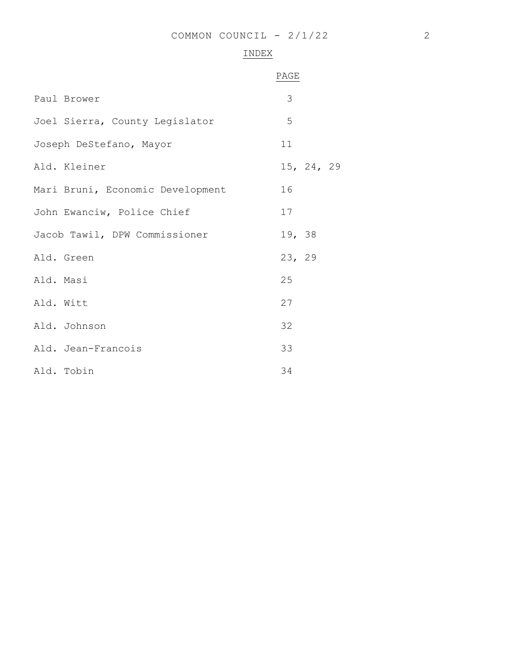# INDEX

|                    |                                  | PAGE       |  |
|--------------------|----------------------------------|------------|--|
| Paul Brower        |                                  | 3          |  |
|                    | Joel Sierra, County Legislator   | 5          |  |
|                    | Joseph DeStefano, Mayor          | 11         |  |
| Ald. Kleiner       |                                  | 15, 24, 29 |  |
|                    | Mari Bruni, Economic Development | 16         |  |
|                    | John Ewanciw, Police Chief       | 17         |  |
|                    | Jacob Tawil, DPW Commissioner    | 19, 38     |  |
| Ald. Green         |                                  | 23, 29     |  |
| Ald. Masi          |                                  | 25         |  |
| Ald. Witt          |                                  | 27         |  |
| Ald. Johnson       |                                  | 32         |  |
| Ald. Jean-Francois |                                  | 33         |  |
| Ald. Tobin         |                                  | 34         |  |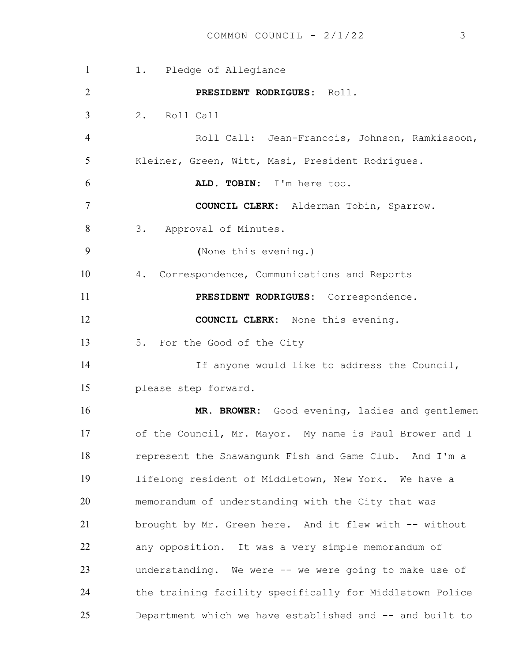1 1. Pledge of Allegiance **PRESIDENT RODRIGUES**: Roll. 2. Roll Call Roll Call: Jean-Francois, Johnson, Ramkissoon, Kleiner, Green, Witt, Masi, President Rodrigues. **ALD. TOBIN:** I'm here too. **COUNCIL CLERK:** Alderman Tobin, Sparrow. 8 3. Approval of Minutes. **(**None this evening.) 4. Correspondence, Communications and Reports **PRESIDENT RODRIGUES:** Correspondence. **COUNCIL CLERK:** None this evening. 13 5. For the Good of the City If anyone would like to address the Council, please step forward. **MR. BROWER:** Good evening, ladies and gentlemen of the Council, Mr. Mayor. My name is Paul Brower and I represent the Shawangunk Fish and Game Club. And I'm a lifelong resident of Middletown, New York. We have a memorandum of understanding with the City that was brought by Mr. Green here. And it flew with -- without any opposition. It was a very simple memorandum of understanding. We were -- we were going to make use of the training facility specifically for Middletown Police Department which we have established and -- and built to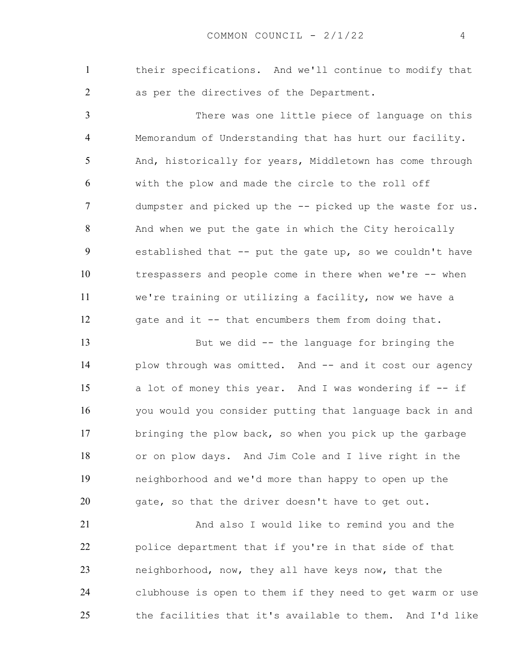their specifications. And we'll continue to modify that as per the directives of the Department.

There was one little piece of language on this Memorandum of Understanding that has hurt our facility. And, historically for years, Middletown has come through with the plow and made the circle to the roll off dumpster and picked up the -- picked up the waste for us. And when we put the gate in which the City heroically established that -- put the gate up, so we couldn't have trespassers and people come in there when we're -- when we're training or utilizing a facility, now we have a gate and it -- that encumbers them from doing that.

But we did -- the language for bringing the 14 plow through was omitted. And -- and it cost our agency a lot of money this year. And I was wondering if -- if you would you consider putting that language back in and bringing the plow back, so when you pick up the garbage or on plow days. And Jim Cole and I live right in the neighborhood and we'd more than happy to open up the gate, so that the driver doesn't have to get out.

And also I would like to remind you and the police department that if you're in that side of that neighborhood, now, they all have keys now, that the clubhouse is open to them if they need to get warm or use the facilities that it's available to them. And I'd like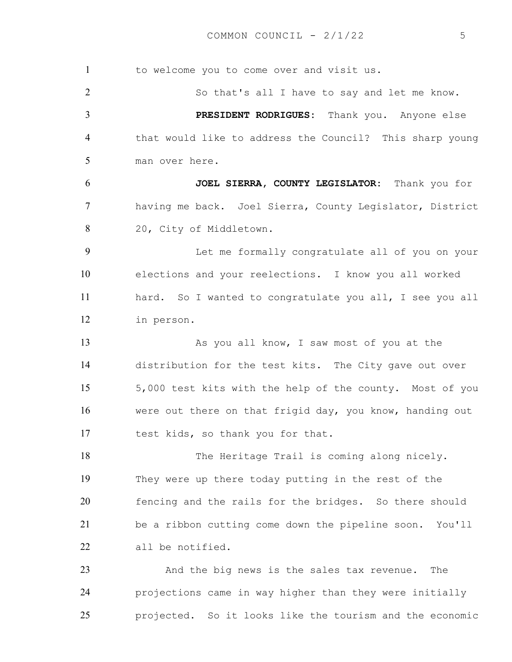1 to welcome you to come over and visit us. So that's all I have to say and let me know. **PRESIDENT RODRIGUES:** Thank you. Anyone else that would like to address the Council? This sharp young man over here. **JOEL SIERRA, COUNTY LEGISLATOR:** Thank you for having me back. Joel Sierra, County Legislator, District 20, City of Middletown. Let me formally congratulate all of you on your elections and your reelections. I know you all worked hard. So I wanted to congratulate you all, I see you all in person. 13 As you all know, I saw most of you at the distribution for the test kits. The City gave out over 5,000 test kits with the help of the county. Most of you were out there on that frigid day, you know, handing out test kids, so thank you for that. 18 The Heritage Trail is coming along nicely. They were up there today putting in the rest of the fencing and the rails for the bridges. So there should be a ribbon cutting come down the pipeline soon. You'll all be notified. And the big news is the sales tax revenue. The projections came in way higher than they were initially projected. So it looks like the tourism and the economic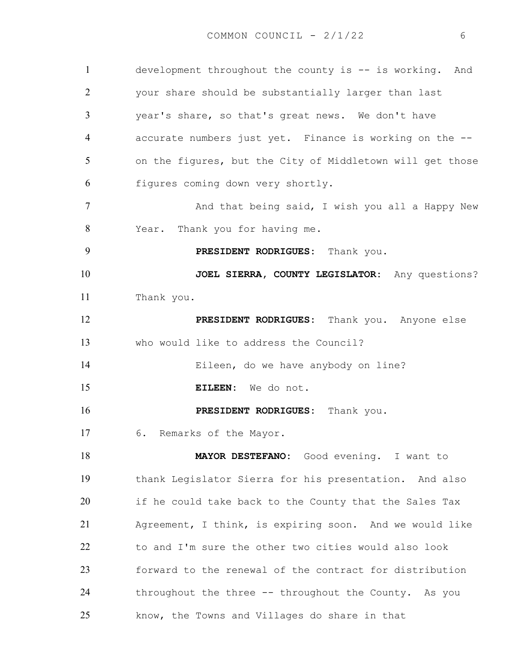development throughout the county is -- is working. And your share should be substantially larger than last year's share, so that's great news. We don't have accurate numbers just yet. Finance is working on the -- on the figures, but the City of Middletown will get those figures coming down very shortly. 7 And that being said, I wish you all a Happy New Year. Thank you for having me. **PRESIDENT RODRIGUES:** Thank you. **JOEL SIERRA, COUNTY LEGISLATOR:** Any questions? Thank you. **PRESIDENT RODRIGUES:** Thank you. Anyone else who would like to address the Council? Eileen, do we have anybody on line? **EILEEN:** We do not. **PRESIDENT RODRIGUES:** Thank you. 6**.** Remarks of the Mayor. **MAYOR DESTEFANO:** Good evening. I want to thank Legislator Sierra for his presentation. And also if he could take back to the County that the Sales Tax Agreement, I think, is expiring soon. And we would like to and I'm sure the other two cities would also look forward to the renewal of the contract for distribution throughout the three -- throughout the County. As you know, the Towns and Villages do share in that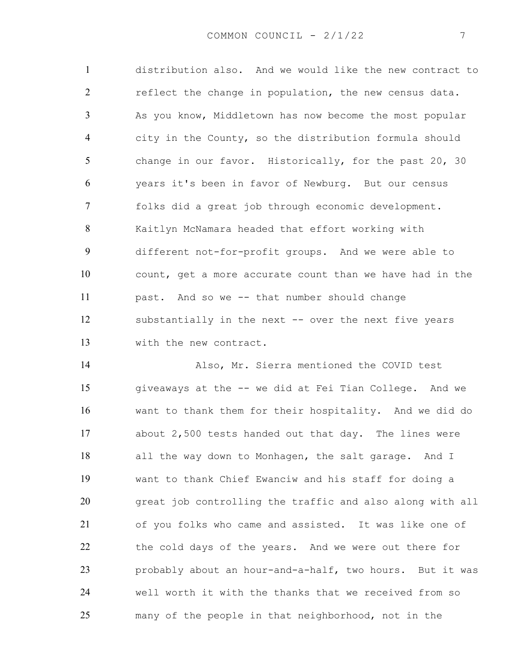distribution also. And we would like the new contract to 2 reflect the change in population, the new census data. As you know, Middletown has now become the most popular city in the County, so the distribution formula should change in our favor. Historically, for the past 20, 30 years it's been in favor of Newburg. But our census folks did a great job through economic development. Kaitlyn McNamara headed that effort working with different not-for-profit groups. And we were able to count, get a more accurate count than we have had in the past. And so we -- that number should change substantially in the next -- over the next five years with the new contract.

Also, Mr. Sierra mentioned the COVID test giveaways at the -- we did at Fei Tian College. And we want to thank them for their hospitality. And we did do about 2,500 tests handed out that day. The lines were 18 all the way down to Monhagen, the salt garage. And I want to thank Chief Ewanciw and his staff for doing a great job controlling the traffic and also along with all of you folks who came and assisted. It was like one of the cold days of the years. And we were out there for probably about an hour-and-a-half, two hours. But it was well worth it with the thanks that we received from so many of the people in that neighborhood, not in the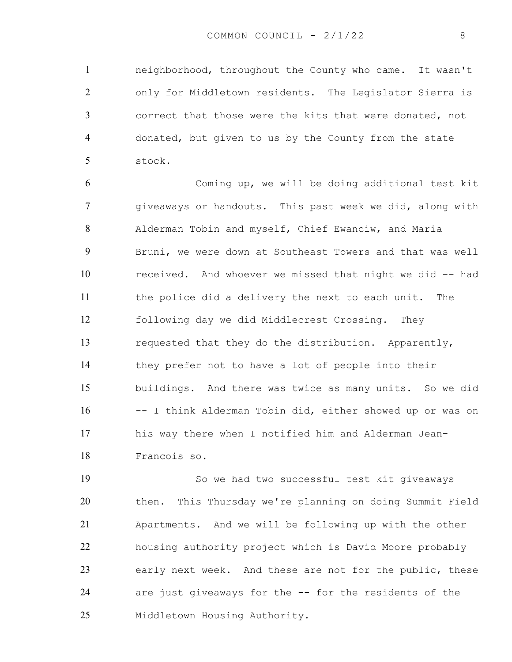neighborhood, throughout the County who came. It wasn't only for Middletown residents. The Legislator Sierra is correct that those were the kits that were donated, not donated, but given to us by the County from the state stock.

Coming up, we will be doing additional test kit giveaways or handouts. This past week we did, along with Alderman Tobin and myself, Chief Ewanciw, and Maria Bruni, we were down at Southeast Towers and that was well received. And whoever we missed that night we did -- had the police did a delivery the next to each unit. The following day we did Middlecrest Crossing. They requested that they do the distribution. Apparently, they prefer not to have a lot of people into their buildings. And there was twice as many units. So we did -- I think Alderman Tobin did, either showed up or was on his way there when I notified him and Alderman Jean-Francois so.

So we had two successful test kit giveaways then. This Thursday we're planning on doing Summit Field Apartments. And we will be following up with the other housing authority project which is David Moore probably early next week. And these are not for the public, these are just giveaways for the -- for the residents of the Middletown Housing Authority.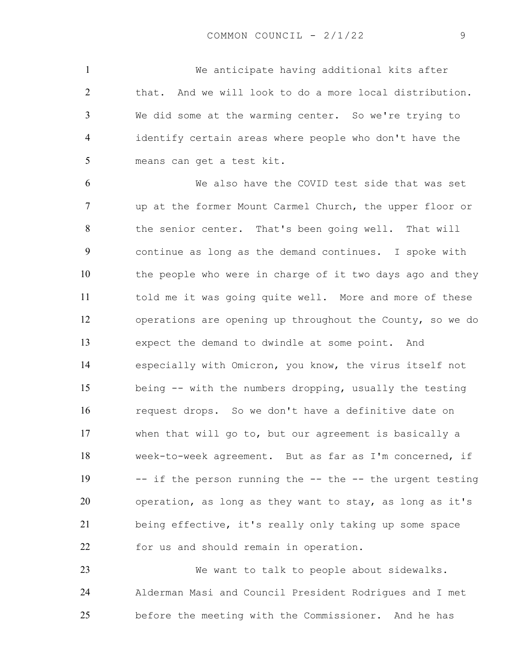We anticipate having additional kits after that. And we will look to do a more local distribution. We did some at the warming center. So we're trying to identify certain areas where people who don't have the means can get a test kit.

We also have the COVID test side that was set up at the former Mount Carmel Church, the upper floor or the senior center. That's been going well. That will continue as long as the demand continues. I spoke with the people who were in charge of it two days ago and they told me it was going quite well. More and more of these operations are opening up throughout the County, so we do expect the demand to dwindle at some point. And especially with Omicron, you know, the virus itself not being -- with the numbers dropping, usually the testing request drops. So we don't have a definitive date on when that will go to, but our agreement is basically a week-to-week agreement. But as far as I'm concerned, if -- if the person running the -- the -- the urgent testing operation, as long as they want to stay, as long as it's being effective, it's really only taking up some space for us and should remain in operation.

We want to talk to people about sidewalks. Alderman Masi and Council President Rodrigues and I met before the meeting with the Commissioner. And he has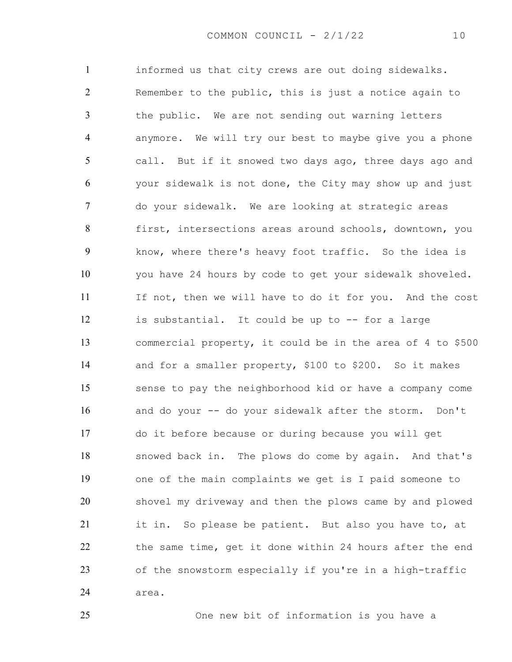informed us that city crews are out doing sidewalks. Remember to the public, this is just a notice again to the public. We are not sending out warning letters anymore. We will try our best to maybe give you a phone call. But if it snowed two days ago, three days ago and your sidewalk is not done, the City may show up and just do your sidewalk. We are looking at strategic areas first, intersections areas around schools, downtown, you know, where there's heavy foot traffic. So the idea is you have 24 hours by code to get your sidewalk shoveled. If not, then we will have to do it for you. And the cost is substantial. It could be up to -- for a large commercial property, it could be in the area of 4 to \$500 and for a smaller property, \$100 to \$200. So it makes sense to pay the neighborhood kid or have a company come and do your -- do your sidewalk after the storm. Don't do it before because or during because you will get snowed back in. The plows do come by again. And that's one of the main complaints we get is I paid someone to shovel my driveway and then the plows came by and plowed 21 it in. So please be patient. But also you have to, at the same time, get it done within 24 hours after the end of the snowstorm especially if you're in a high-traffic area.

One new bit of information is you have a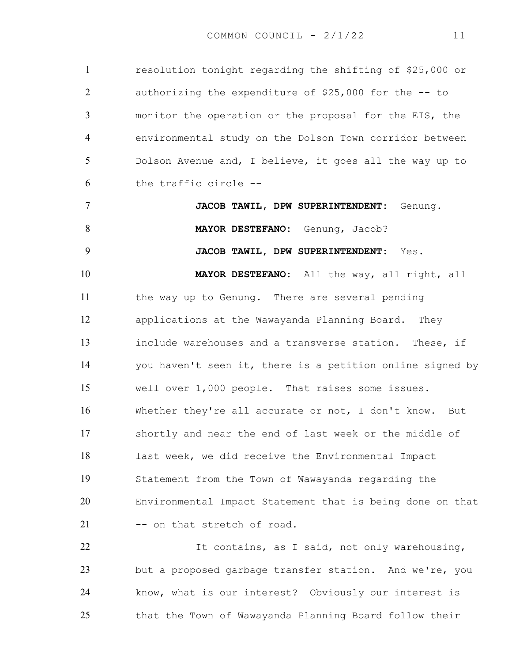resolution tonight regarding the shifting of \$25,000 or authorizing the expenditure of \$25,000 for the -- to monitor the operation or the proposal for the EIS, the environmental study on the Dolson Town corridor between Dolson Avenue and, I believe, it goes all the way up to the traffic circle --

**JACOB TAWIL, DPW SUPERINTENDENT:** Genung. **MAYOR DESTEFANO:** Genung, Jacob?

**JACOB TAWIL, DPW SUPERINTENDENT:** Yes.

**MAYOR DESTEFANO:** All the way, all right, all the way up to Genung. There are several pending applications at the Wawayanda Planning Board. They include warehouses and a transverse station. These, if you haven't seen it, there is a petition online signed by well over 1,000 people. That raises some issues. Whether they're all accurate or not, I don't know. But shortly and near the end of last week or the middle of last week, we did receive the Environmental Impact Statement from the Town of Wawayanda regarding the Environmental Impact Statement that is being done on that 21 -- on that stretch of road.

It contains, as I said, not only warehousing, but a proposed garbage transfer station. And we're, you know, what is our interest? Obviously our interest is that the Town of Wawayanda Planning Board follow their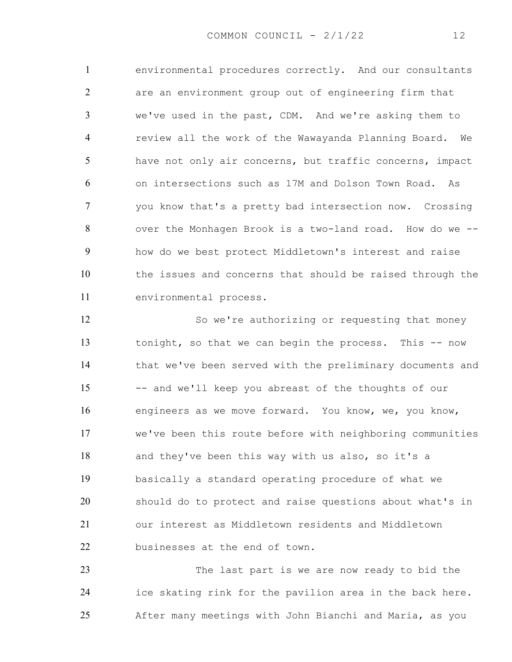environmental procedures correctly. And our consultants are an environment group out of engineering firm that we've used in the past, CDM. And we're asking them to review all the work of the Wawayanda Planning Board. We have not only air concerns, but traffic concerns, impact on intersections such as 17M and Dolson Town Road. As you know that's a pretty bad intersection now. Crossing over the Monhagen Brook is a two-land road. How do we -- how do we best protect Middletown's interest and raise the issues and concerns that should be raised through the environmental process.

So we're authorizing or requesting that money tonight, so that we can begin the process. This -- now that we've been served with the preliminary documents and -- and we'll keep you abreast of the thoughts of our engineers as we move forward. You know, we, you know, we've been this route before with neighboring communities and they've been this way with us also, so it's a basically a standard operating procedure of what we should do to protect and raise questions about what's in our interest as Middletown residents and Middletown businesses at the end of town.

The last part is we are now ready to bid the ice skating rink for the pavilion area in the back here. After many meetings with John Bianchi and Maria, as you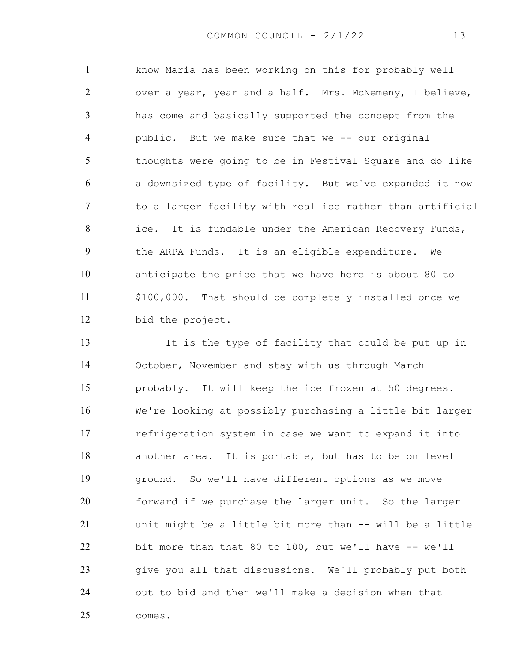know Maria has been working on this for probably well over a year, year and a half. Mrs. McNemeny, I believe, has come and basically supported the concept from the public. But we make sure that we -- our original thoughts were going to be in Festival Square and do like a downsized type of facility. But we've expanded it now to a larger facility with real ice rather than artificial 8 ice. It is fundable under the American Recovery Funds, the ARPA Funds. It is an eligible expenditure. We anticipate the price that we have here is about 80 to 11 \$100,000. That should be completely installed once we bid the project.

It is the type of facility that could be put up in October, November and stay with us through March probably. It will keep the ice frozen at 50 degrees. We're looking at possibly purchasing a little bit larger refrigeration system in case we want to expand it into another area. It is portable, but has to be on level ground. So we'll have different options as we move forward if we purchase the larger unit. So the larger unit might be a little bit more than -- will be a little bit more than that 80 to 100, but we'll have -- we'll give you all that discussions. We'll probably put both out to bid and then we'll make a decision when that comes.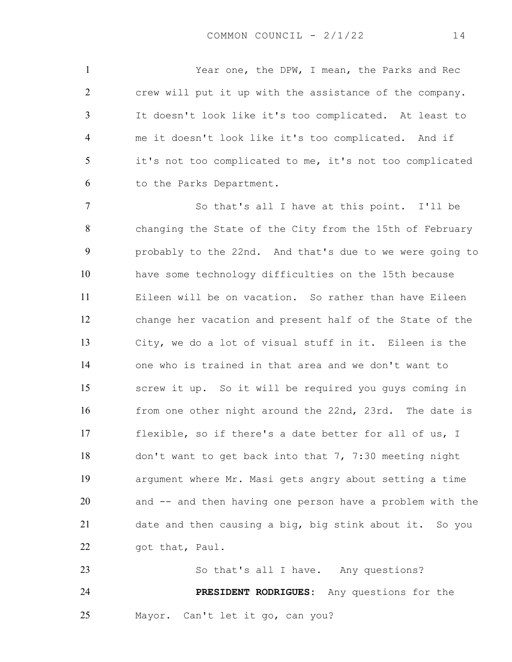Year one, the DPW, I mean, the Parks and Rec crew will put it up with the assistance of the company. It doesn't look like it's too complicated. At least to me it doesn't look like it's too complicated. And if it's not too complicated to me, it's not too complicated to the Parks Department.

So that's all I have at this point. I'll be changing the State of the City from the 15th of February probably to the 22nd. And that's due to we were going to have some technology difficulties on the 15th because Eileen will be on vacation. So rather than have Eileen change her vacation and present half of the State of the City, we do a lot of visual stuff in it. Eileen is the one who is trained in that area and we don't want to screw it up. So it will be required you guys coming in 16 from one other night around the 22nd, 23rd. The date is flexible, so if there's a date better for all of us, I don't want to get back into that 7, 7:30 meeting night argument where Mr. Masi gets angry about setting a time and -- and then having one person have a problem with the date and then causing a big, big stink about it. So you 22 got that, Paul.

23 So that's all I have. Any questions? **PRESIDENT RODRIGUES:** Any questions for the Mayor. Can't let it go, can you?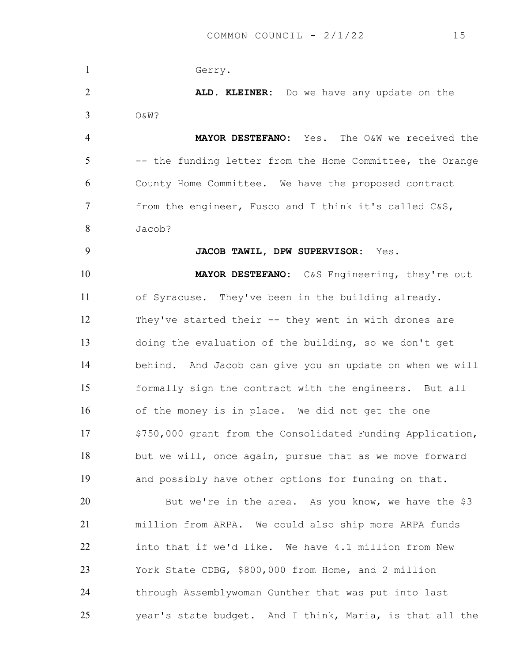Gerry. **ALD. KLEINER:** Do we have any update on the O&W? **MAYOR DESTEFANO:** Yes. The O&W we received the -- the funding letter from the Home Committee, the Orange County Home Committee. We have the proposed contract from the engineer, Fusco and I think it's called C&S, Jacob? **JACOB TAWIL, DPW SUPERVISOR:** Yes. **MAYOR DESTEFANO:** C&S Engineering, they're out of Syracuse. They've been in the building already. They've started their -- they went in with drones are doing the evaluation of the building, so we don't get behind. And Jacob can give you an update on when we will formally sign the contract with the engineers. But all of the money is in place. We did not get the one 17 \$750,000 grant from the Consolidated Funding Application, but we will, once again, pursue that as we move forward and possibly have other options for funding on that. But we're in the area. As you know, we have the \$3 million from ARPA. We could also ship more ARPA funds into that if we'd like. We have 4.1 million from New York State CDBG, \$800,000 from Home, and 2 million through Assemblywoman Gunther that was put into last year's state budget. And I think, Maria, is that all the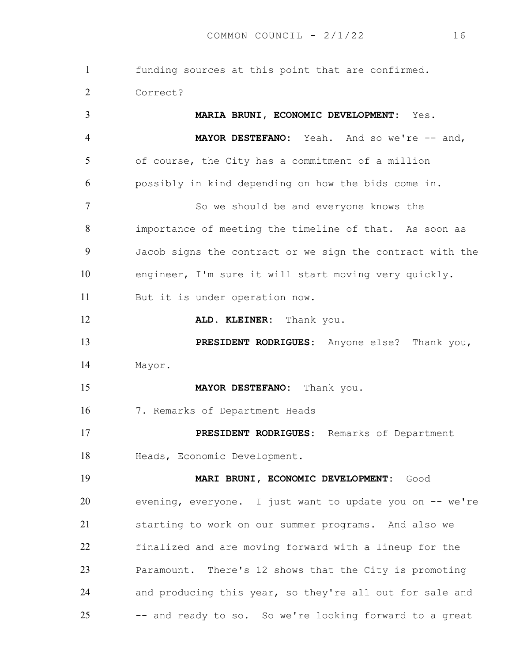funding sources at this point that are confirmed. Correct? **MARIA BRUNI, ECONOMIC DEVELOPMENT:** Yes. **MAYOR DESTEFANO:** Yeah. And so we're -- and, of course, the City has a commitment of a million possibly in kind depending on how the bids come in. 7 So we should be and everyone knows the importance of meeting the timeline of that. As soon as Jacob signs the contract or we sign the contract with the engineer, I'm sure it will start moving very quickly. But it is under operation now. **ALD. KLEINER:** Thank you. **PRESIDENT RODRIGUES:** Anyone else? Thank you, Mayor. **MAYOR DESTEFANO:** Thank you. 7. Remarks of Department Heads **PRESIDENT RODRIGUES:** Remarks of Department Heads, Economic Development. **MARI BRUNI, ECONOMIC DEVELOPMENT:** Good evening, everyone. I just want to update you on -- we're starting to work on our summer programs. And also we finalized and are moving forward with a lineup for the Paramount. There's 12 shows that the City is promoting and producing this year, so they're all out for sale and -- and ready to so. So we're looking forward to a great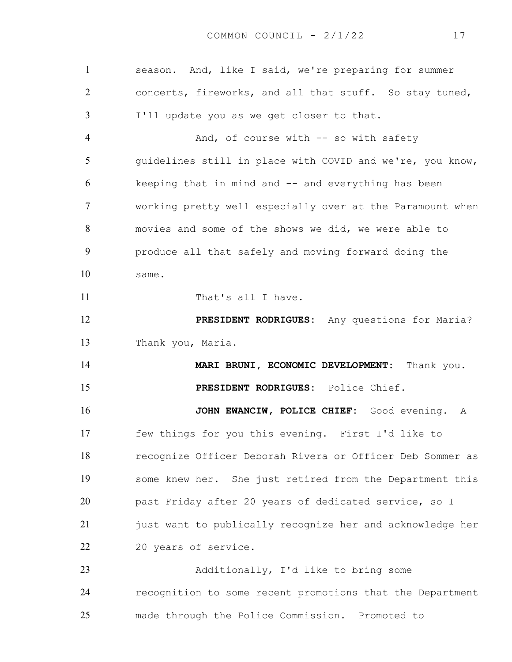season. And, like I said, we're preparing for summer concerts, fireworks, and all that stuff. So stay tuned, I'll update you as we get closer to that. 4 And, of course with -- so with safety guidelines still in place with COVID and we're, you know, keeping that in mind and -- and everything has been working pretty well especially over at the Paramount when movies and some of the shows we did, we were able to produce all that safely and moving forward doing the same. 11 That's all I have. **PRESIDENT RODRIGUES:** Any questions for Maria? Thank you, Maria. **MARI BRUNI, ECONOMIC DEVELOPMENT:** Thank you. **PRESIDENT RODRIGUES:** Police Chief. **JOHN EWANCIW, POLICE CHIEF:** Good evening. A few things for you this evening. First I'd like to recognize Officer Deborah Rivera or Officer Deb Sommer as some knew her. She just retired from the Department this past Friday after 20 years of dedicated service, so I just want to publically recognize her and acknowledge her 20 years of service. Additionally, I'd like to bring some recognition to some recent promotions that the Department made through the Police Commission. Promoted to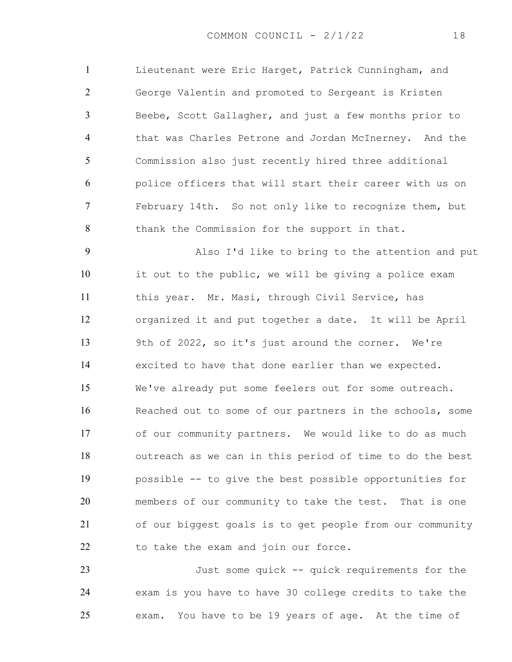Lieutenant were Eric Harget, Patrick Cunningham, and George Valentin and promoted to Sergeant is Kristen Beebe, Scott Gallagher, and just a few months prior to that was Charles Petrone and Jordan McInerney. And the Commission also just recently hired three additional police officers that will start their career with us on February 14th. So not only like to recognize them, but 8 thank the Commission for the support in that.

Also I'd like to bring to the attention and put it out to the public, we will be giving a police exam this year. Mr. Masi, through Civil Service, has organized it and put together a date. It will be April 9th of 2022, so it's just around the corner. We're excited to have that done earlier than we expected. We've already put some feelers out for some outreach. Reached out to some of our partners in the schools, some of our community partners. We would like to do as much outreach as we can in this period of time to do the best possible -- to give the best possible opportunities for members of our community to take the test. That is one of our biggest goals is to get people from our community 22 to take the exam and join our force.

Just some quick -- quick requirements for the exam is you have to have 30 college credits to take the exam. You have to be 19 years of age. At the time of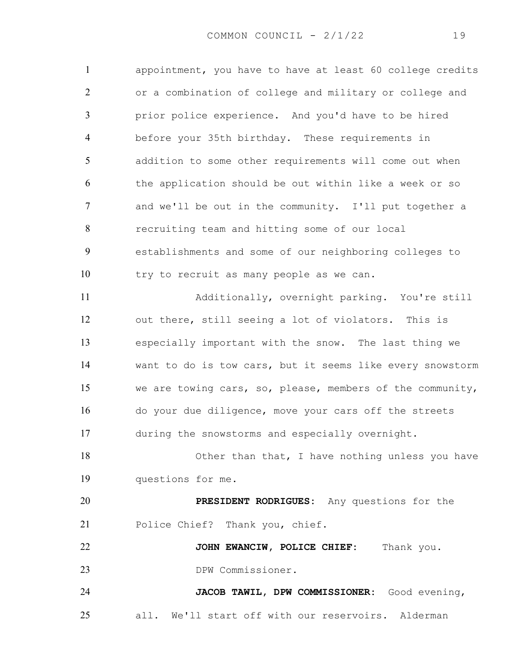appointment, you have to have at least 60 college credits or a combination of college and military or college and prior police experience. And you'd have to be hired before your 35th birthday. These requirements in addition to some other requirements will come out when the application should be out within like a week or so and we'll be out in the community. I'll put together a recruiting team and hitting some of our local establishments and some of our neighboring colleges to try to recruit as many people as we can. Additionally, overnight parking. You're still out there, still seeing a lot of violators. This is especially important with the snow. The last thing we want to do is tow cars, but it seems like every snowstorm we are towing cars, so, please, members of the community, do your due diligence, move your cars off the streets during the snowstorms and especially overnight. Other than that, I have nothing unless you have questions for me. **PRESIDENT RODRIGUES:** Any questions for the Police Chief? Thank you, chief. **JOHN EWANCIW, POLICE CHIEF:** Thank you. DPW Commissioner. **JACOB TAWIL, DPW COMMISSIONER:** Good evening, all. We'll start off with our reservoirs. Alderman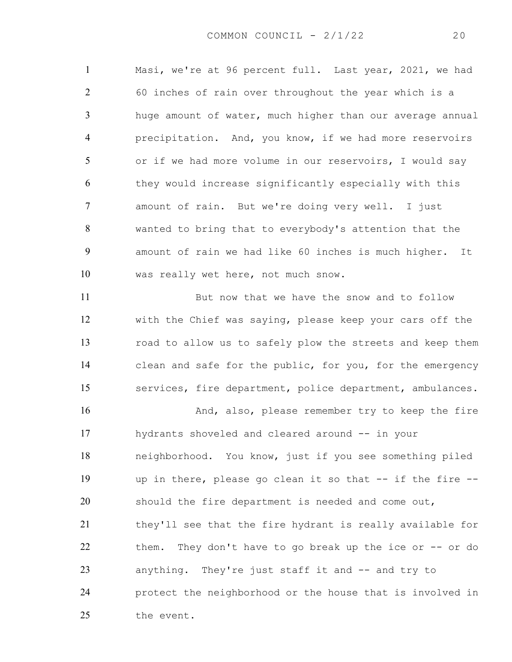Masi, we're at 96 percent full. Last year, 2021, we had 60 inches of rain over throughout the year which is a huge amount of water, much higher than our average annual precipitation. And, you know, if we had more reservoirs or if we had more volume in our reservoirs, I would say they would increase significantly especially with this amount of rain. But we're doing very well. I just wanted to bring that to everybody's attention that the amount of rain we had like 60 inches is much higher. It was really wet here, not much snow.

But now that we have the snow and to follow with the Chief was saying, please keep your cars off the road to allow us to safely plow the streets and keep them clean and safe for the public, for you, for the emergency services, fire department, police department, ambulances.

16 And, also, please remember try to keep the fire hydrants shoveled and cleared around -- in your neighborhood. You know, just if you see something piled up in there, please go clean it so that -- if the fire -- should the fire department is needed and come out, they'll see that the fire hydrant is really available for them. They don't have to go break up the ice or -- or do anything. They're just staff it and -- and try to protect the neighborhood or the house that is involved in 25 the event.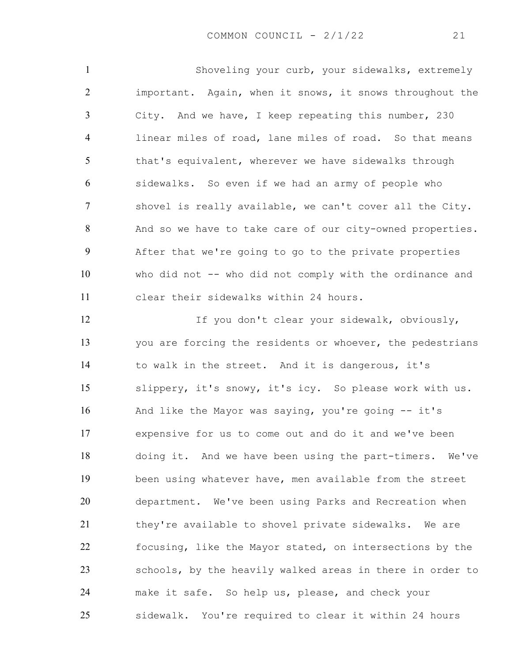Shoveling your curb, your sidewalks, extremely important. Again, when it snows, it snows throughout the City. And we have, I keep repeating this number, 230 linear miles of road, lane miles of road. So that means 5 that's equivalent, wherever we have sidewalks through sidewalks. So even if we had an army of people who shovel is really available, we can't cover all the City. And so we have to take care of our city-owned properties. After that we're going to go to the private properties who did not -- who did not comply with the ordinance and clear their sidewalks within 24 hours.

12 If you don't clear your sidewalk, obviously, you are forcing the residents or whoever, the pedestrians to walk in the street. And it is dangerous, it's slippery, it's snowy, it's icy. So please work with us. And like the Mayor was saying, you're going -- it's expensive for us to come out and do it and we've been doing it. And we have been using the part-timers. We've been using whatever have, men available from the street department. We've been using Parks and Recreation when 21 they're available to shovel private sidewalks. We are focusing, like the Mayor stated, on intersections by the schools, by the heavily walked areas in there in order to make it safe. So help us, please, and check your sidewalk. You're required to clear it within 24 hours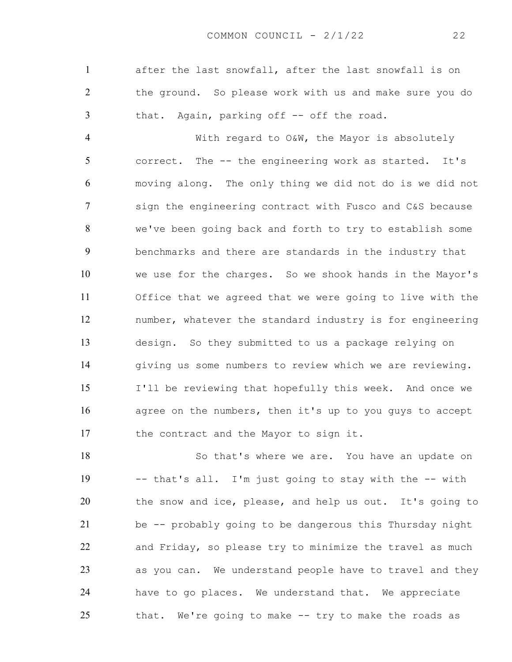after the last snowfall, after the last snowfall is on the ground. So please work with us and make sure you do that. Again, parking off -- off the road.

With regard to O&W, the Mayor is absolutely correct. The -- the engineering work as started. It's moving along. The only thing we did not do is we did not sign the engineering contract with Fusco and C&S because we've been going back and forth to try to establish some benchmarks and there are standards in the industry that we use for the charges. So we shook hands in the Mayor's Office that we agreed that we were going to live with the number, whatever the standard industry is for engineering design. So they submitted to us a package relying on giving us some numbers to review which we are reviewing. I'll be reviewing that hopefully this week. And once we agree on the numbers, then it's up to you guys to accept 17 the contract and the Mayor to sign it.

18 So that's where we are. You have an update on -- that's all. I'm just going to stay with the -- with the snow and ice, please, and help us out. It's going to be -- probably going to be dangerous this Thursday night and Friday, so please try to minimize the travel as much as you can. We understand people have to travel and they have to go places. We understand that. We appreciate that. We're going to make -- try to make the roads as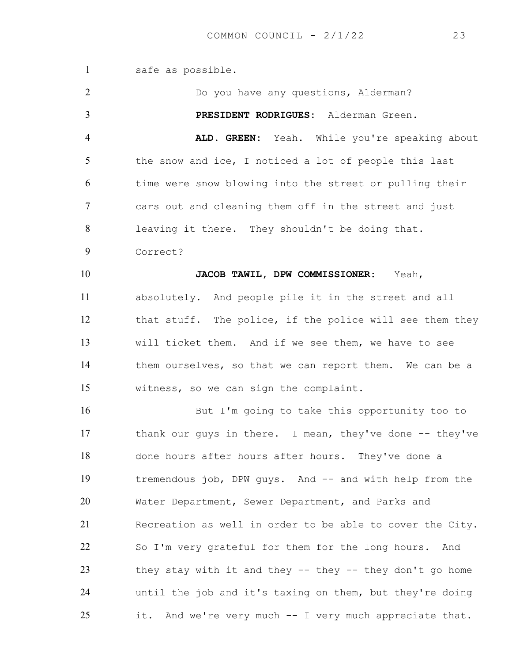safe as possible. Do you have any questions, Alderman? **PRESIDENT RODRIGUES:** Alderman Green. **ALD. GREEN:** Yeah. While you're speaking about 5 the snow and ice, I noticed a lot of people this last time were snow blowing into the street or pulling their cars out and cleaning them off in the street and just leaving it there. They shouldn't be doing that. Correct? **JACOB TAWIL, DPW COMMISSIONER:** Yeah, absolutely. And people pile it in the street and all that stuff. The police, if the police will see them they will ticket them. And if we see them, we have to see them ourselves, so that we can report them. We can be a witness, so we can sign the complaint. But I'm going to take this opportunity too to 17 thank our guys in there. I mean, they've done -- they've done hours after hours after hours. They've done a 19 tremendous job, DPW guys. And -- and with help from the Water Department, Sewer Department, and Parks and Recreation as well in order to be able to cover the City. So I'm very grateful for them for the long hours. And 23 they stay with it and they -- they -- they don't go home until the job and it's taxing on them, but they're doing it. And we're very much -- I very much appreciate that.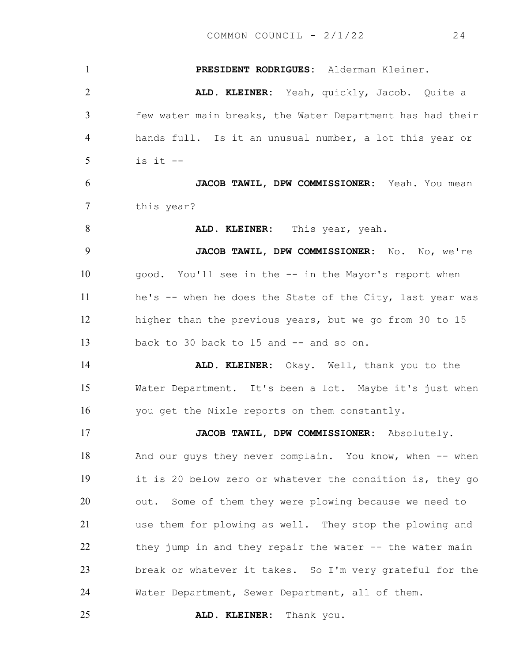**PRESIDENT RODRIGUES:** Alderman Kleiner. **ALD. KLEINER:** Yeah, quickly, Jacob. Quite a few water main breaks, the Water Department has had their hands full. Is it an unusual number, a lot this year or is it  $-$ **JACOB TAWIL, DPW COMMISSIONER:** Yeah. You mean this year? **ALD. KLEINER:** This year, yeah. **JACOB TAWIL, DPW COMMISSIONER:** No. No, we're good. You'll see in the -- in the Mayor's report when he's -- when he does the State of the City, last year was higher than the previous years, but we go from 30 to 15 13 back to 30 back to 15 and  $-$  and so on. **ALD. KLEINER:** Okay. Well, thank you to the Water Department. It's been a lot. Maybe it's just when you get the Nixle reports on them constantly. **JACOB TAWIL, DPW COMMISSIONER:** Absolutely. 18 And our guys they never complain. You know, when -- when it is 20 below zero or whatever the condition is, they go out. Some of them they were plowing because we need to use them for plowing as well. They stop the plowing and 22 they jump in and they repair the water -- the water main break or whatever it takes. So I'm very grateful for the Water Department, Sewer Department, all of them. **ALD. KLEINER:** Thank you.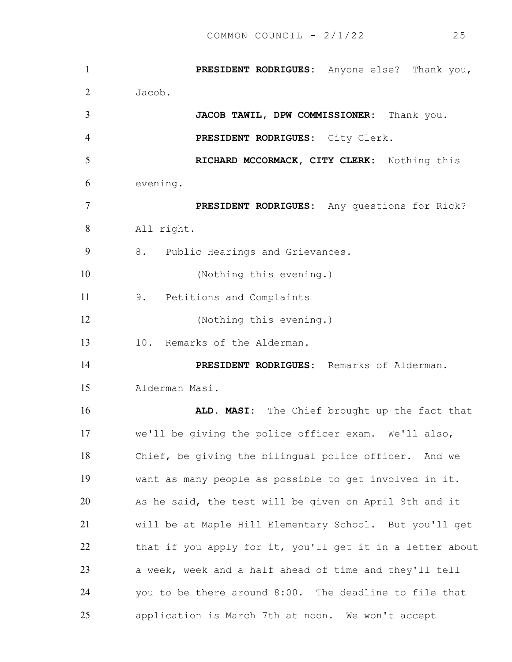**PRESIDENT RODRIGUES:** Anyone else? Thank you, Jacob. **JACOB TAWIL, DPW COMMISSIONER:** Thank you. **PRESIDENT RODRIGUES:** City Clerk. **RICHARD MCCORMACK, CITY CLERK:** Nothing this evening. **PRESIDENT RODRIGUES:** Any questions for Rick? All right. 8. Public Hearings and Grievances. (Nothing this evening.) 9. Petitions and Complaints (Nothing this evening.) 10. Remarks of the Alderman. **PRESIDENT RODRIGUES:** Remarks of Alderman. Alderman Masi. **ALD. MASI:** The Chief brought up the fact that we'll be giving the police officer exam. We'll also, Chief, be giving the bilingual police officer. And we want as many people as possible to get involved in it. As he said, the test will be given on April 9th and it will be at Maple Hill Elementary School. But you'll get that if you apply for it, you'll get it in a letter about a week, week and a half ahead of time and they'll tell you to be there around 8:00. The deadline to file that application is March 7th at noon. We won't accept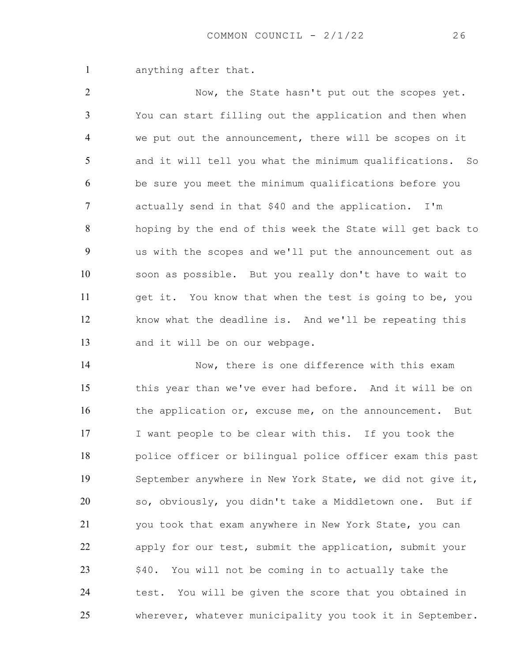anything after that.

Now, the State hasn't put out the scopes yet. You can start filling out the application and then when we put out the announcement, there will be scopes on it and it will tell you what the minimum qualifications. So be sure you meet the minimum qualifications before you actually send in that \$40 and the application. I'm hoping by the end of this week the State will get back to us with the scopes and we'll put the announcement out as soon as possible. But you really don't have to wait to get it. You know that when the test is going to be, you know what the deadline is. And we'll be repeating this and it will be on our webpage.

Now, there is one difference with this exam this year than we've ever had before. And it will be on 16 the application or, excuse me, on the announcement. But I want people to be clear with this. If you took the police officer or bilingual police officer exam this past September anywhere in New York State, we did not give it, so, obviously, you didn't take a Middletown one. But if you took that exam anywhere in New York State, you can apply for our test, submit the application, submit your 23 \$40. You will not be coming in to actually take the 24 test. You will be given the score that you obtained in wherever, whatever municipality you took it in September.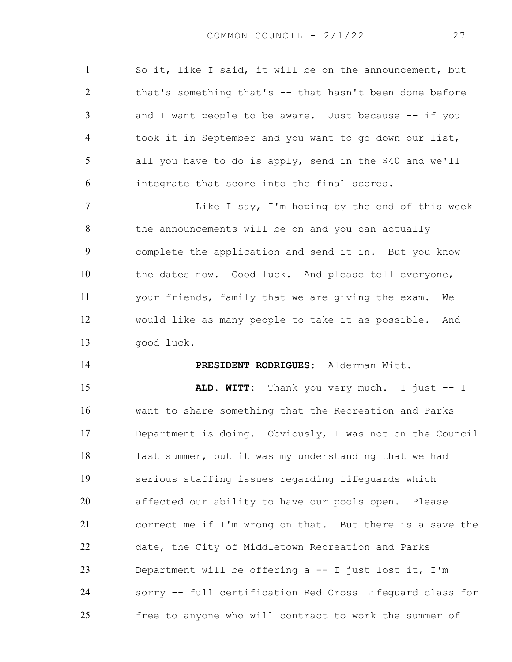So it, like I said, it will be on the announcement, but that's something that's -- that hasn't been done before and I want people to be aware. Just because -- if you took it in September and you want to go down our list, all you have to do is apply, send in the \$40 and we'll integrate that score into the final scores.

**Like I say, I'm hoping by the end of this week** 8 the announcements will be on and you can actually complete the application and send it in. But you know the dates now. Good luck. And please tell everyone, your friends, family that we are giving the exam. We would like as many people to take it as possible. And good luck.

#### **PRESIDENT RODRIGUES:** Alderman Witt.

**ALD. WITT:** Thank you very much. I just -- I want to share something that the Recreation and Parks Department is doing. Obviously, I was not on the Council last summer, but it was my understanding that we had serious staffing issues regarding lifeguards which affected our ability to have our pools open. Please correct me if I'm wrong on that. But there is a save the date, the City of Middletown Recreation and Parks Department will be offering a -- I just lost it, I'm sorry -- full certification Red Cross Lifeguard class for free to anyone who will contract to work the summer of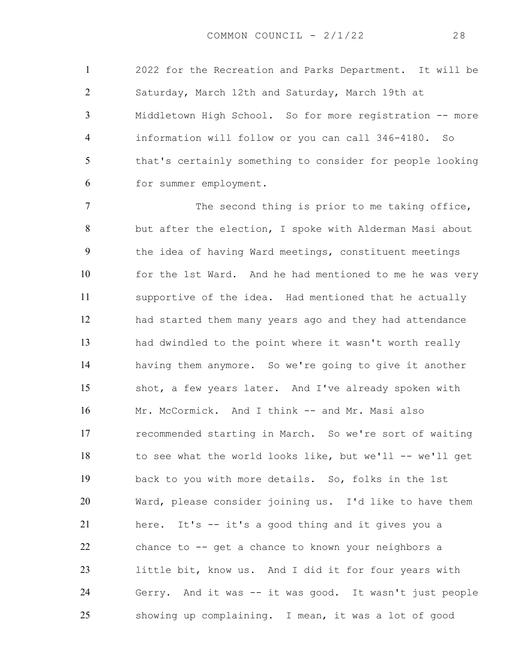2022 for the Recreation and Parks Department. It will be Saturday, March 12th and Saturday, March 19th at Middletown High School. So for more registration -- more information will follow or you can call 346-4180. So that's certainly something to consider for people looking for summer employment.

7 The second thing is prior to me taking office, but after the election, I spoke with Alderman Masi about the idea of having Ward meetings, constituent meetings for the 1st Ward. And he had mentioned to me he was very supportive of the idea. Had mentioned that he actually had started them many years ago and they had attendance had dwindled to the point where it wasn't worth really having them anymore. So we're going to give it another shot, a few years later. And I've already spoken with Mr. McCormick. And I think -- and Mr. Masi also recommended starting in March. So we're sort of waiting 18 to see what the world looks like, but we'll -- we'll get back to you with more details. So, folks in the 1st Ward, please consider joining us. I'd like to have them here. It's -- it's a good thing and it gives you a chance to -- get a chance to known your neighbors a little bit, know us. And I did it for four years with Gerry. And it was -- it was good. It wasn't just people showing up complaining. I mean, it was a lot of good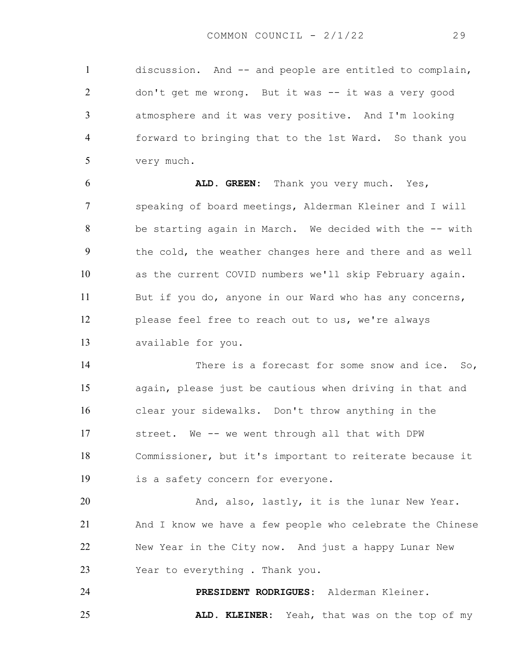discussion. And -- and people are entitled to complain, don't get me wrong. But it was -- it was a very good atmosphere and it was very positive. And I'm looking forward to bringing that to the 1st Ward. So thank you very much.

**ALD. GREEN:** Thank you very much. Yes, speaking of board meetings, Alderman Kleiner and I will be starting again in March. We decided with the -- with the cold, the weather changes here and there and as well as the current COVID numbers we'll skip February again. 11 But if you do, anyone in our Ward who has any concerns, please feel free to reach out to us, we're always available for you.

14 There is a forecast for some snow and ice. So, again, please just be cautious when driving in that and clear your sidewalks. Don't throw anything in the street. We -- we went through all that with DPW Commissioner, but it's important to reiterate because it is a safety concern for everyone.

And, also, lastly, it is the lunar New Year. And I know we have a few people who celebrate the Chinese New Year in the City now. And just a happy Lunar New Year to everything . Thank you.

**PRESIDENT RODRIGUES:** Alderman Kleiner. **ALD. KLEINER:** Yeah, that was on the top of my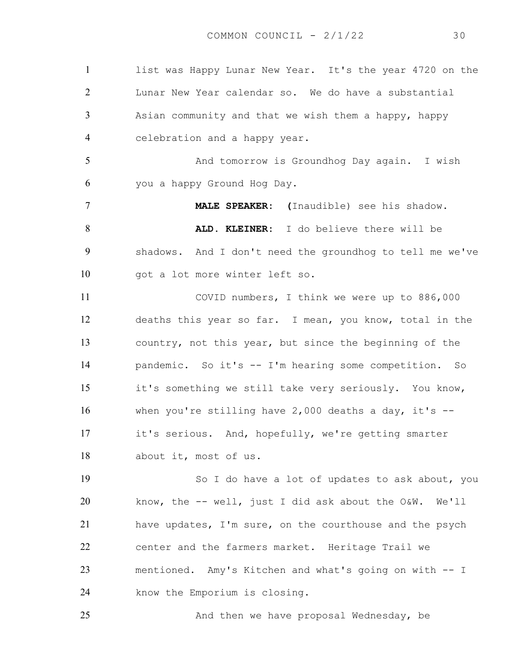list was Happy Lunar New Year. It's the year 4720 on the Lunar New Year calendar so. We do have a substantial Asian community and that we wish them a happy, happy celebration and a happy year. 5 And tomorrow is Groundhog Day again. I wish you a happy Ground Hog Day. **MALE SPEAKER: (**Inaudible) see his shadow. **ALD. KLEINER:** I do believe there will be shadows. And I don't need the groundhog to tell me we've got a lot more winter left so. COVID numbers, I think we were up to 886,000 deaths this year so far. I mean, you know, total in the country, not this year, but since the beginning of the pandemic. So it's -- I'm hearing some competition. So it's something we still take very seriously. You know, when you're stilling have 2,000 deaths a day, it's -- it's serious. And, hopefully, we're getting smarter about it, most of us. So I do have a lot of updates to ask about, you know, the -- well, just I did ask about the O&W. We'll have updates, I'm sure, on the courthouse and the psych center and the farmers market. Heritage Trail we mentioned. Amy's Kitchen and what's going on with -- I know the Emporium is closing. 25 And then we have proposal Wednesday, be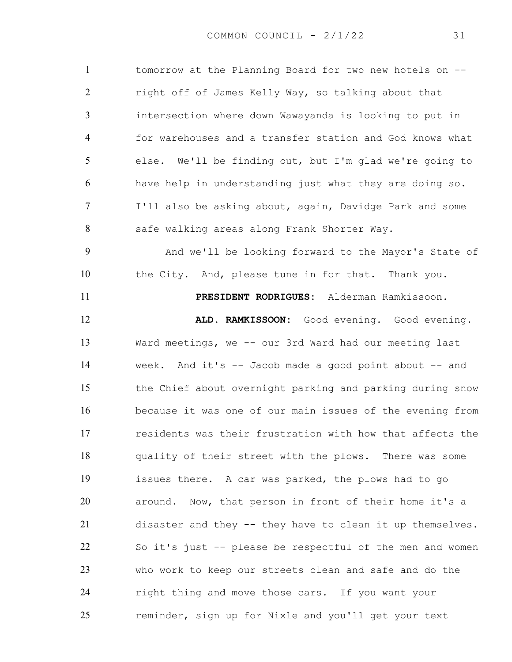tomorrow at the Planning Board for two new hotels on -- right off of James Kelly Way, so talking about that intersection where down Wawayanda is looking to put in for warehouses and a transfer station and God knows what else. We'll be finding out, but I'm glad we're going to have help in understanding just what they are doing so. I'll also be asking about, again, Davidge Park and some 8 safe walking areas along Frank Shorter Way. And we'll be looking forward to the Mayor's State of the City. And, please tune in for that. Thank you. **PRESIDENT RODRIGUES:** Alderman Ramkissoon. **ALD. RAMKISSOON:** Good evening. Good evening. Ward meetings, we -- our 3rd Ward had our meeting last week. And it's -- Jacob made a good point about -- and the Chief about overnight parking and parking during snow because it was one of our main issues of the evening from residents was their frustration with how that affects the quality of their street with the plows. There was some issues there. A car was parked, the plows had to go around. Now, that person in front of their home it's a disaster and they -- they have to clean it up themselves. So it's just -- please be respectful of the men and women who work to keep our streets clean and safe and do the right thing and move those cars. If you want your reminder, sign up for Nixle and you'll get your text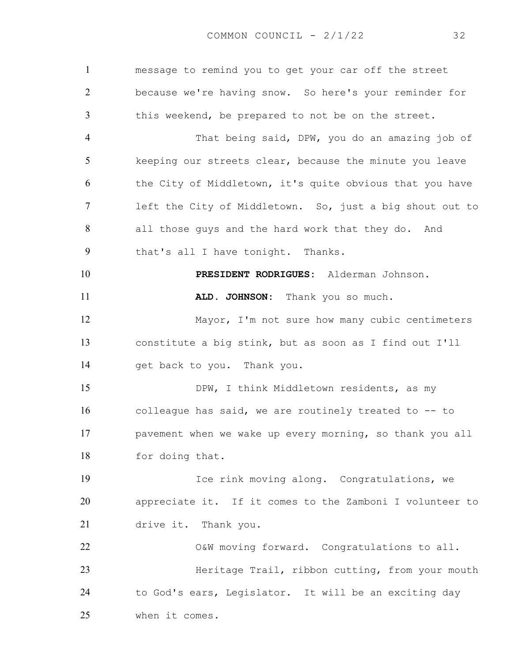message to remind you to get your car off the street because we're having snow. So here's your reminder for this weekend, be prepared to not be on the street. That being said, DPW, you do an amazing job of keeping our streets clear, because the minute you leave 6 the City of Middletown, it's quite obvious that you have left the City of Middletown. So, just a big shout out to all those guys and the hard work that they do. And that's all I have tonight. Thanks. **PRESIDENT RODRIGUES:** Alderman Johnson. **ALD. JOHNSON:** Thank you so much. Mayor, I'm not sure how many cubic centimeters constitute a big stink, but as soon as I find out I'll get back to you. Thank you. 15 DPW, I think Middletown residents, as my colleague has said, we are routinely treated to -- to pavement when we wake up every morning, so thank you all for doing that. Ice rink moving along. Congratulations, we appreciate it. If it comes to the Zamboni I volunteer to drive it. Thank you. O&W moving forward. Congratulations to all. Heritage Trail, ribbon cutting, from your mouth to God's ears, Legislator. It will be an exciting day when it comes.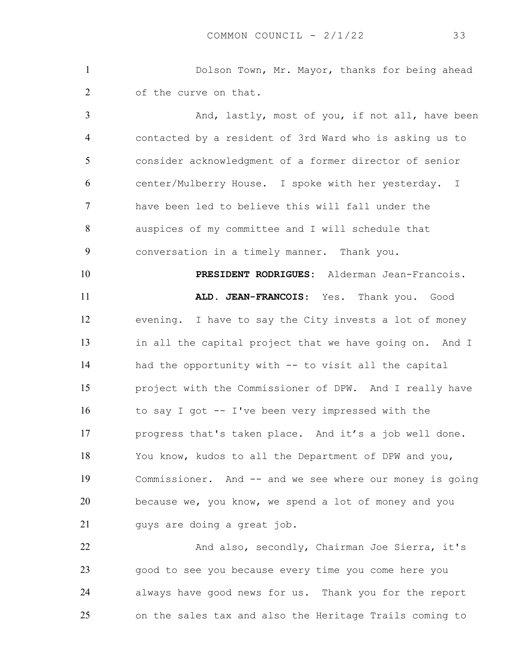Dolson Town, Mr. Mayor, thanks for being ahead 2 of the curve on that.

3 And, lastly, most of you, if not all, have been contacted by a resident of 3rd Ward who is asking us to consider acknowledgment of a former director of senior center/Mulberry House. I spoke with her yesterday. I have been led to believe this will fall under the auspices of my committee and I will schedule that conversation in a timely manner. Thank you. **PRESIDENT RODRIGUES:** Alderman Jean-Francois. **ALD. JEAN-FRANCOIS**: Yes. Thank you. Good evening. I have to say the City invests a lot of money in all the capital project that we have going on. And I had the opportunity with -- to visit all the capital project with the Commissioner of DPW. And I really have to say I got -- I've been very impressed with the progress that's taken place. And it's a job well done. You know, kudos to all the Department of DPW and you, Commissioner. And -- and we see where our money is going because we, you know, we spend a lot of money and you 21 guys are doing a great job.

22 And also, secondly, Chairman Joe Sierra, it's good to see you because every time you come here you always have good news for us. Thank you for the report on the sales tax and also the Heritage Trails coming to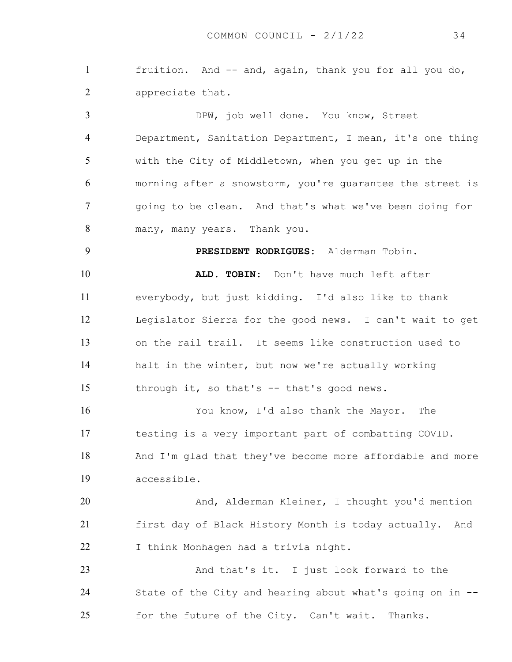fruition. And -- and, again, thank you for all you do, appreciate that.

DPW, job well done. You know, Street Department, Sanitation Department, I mean, it's one thing with the City of Middletown, when you get up in the morning after a snowstorm, you're guarantee the street is going to be clean. And that's what we've been doing for many, many years. Thank you.

**ALD. TOBIN:** Don't have much left after everybody, but just kidding. I'd also like to thank Legislator Sierra for the good news. I can't wait to get on the rail trail. It seems like construction used to halt in the winter, but now we're actually working 15 through it, so that's -- that's good news.

**PRESIDENT RODRIGUES:** Alderman Tobin.

You know, I'd also thank the Mayor. The testing is a very important part of combatting COVID. And I'm glad that they've become more affordable and more accessible.

And, Alderman Kleiner, I thought you'd mention first day of Black History Month is today actually. And I think Monhagen had a trivia night.

23 And that's it. I just look forward to the State of the City and hearing about what's going on in -- for the future of the City. Can't wait. Thanks.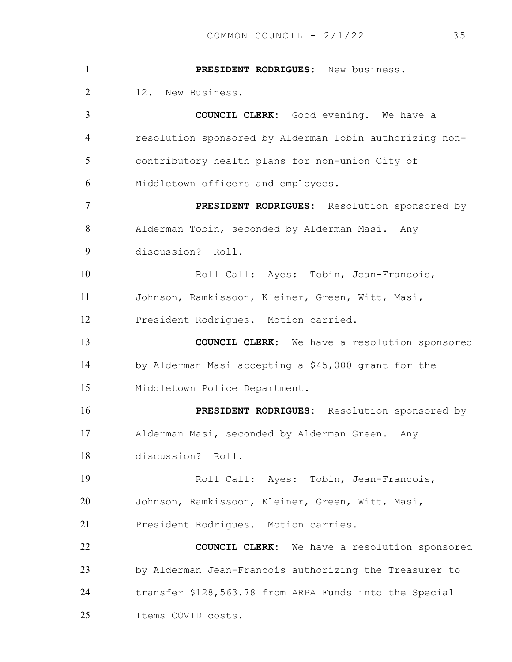**PRESIDENT RODRIGUES:** New business. 12. New Business. **COUNCIL CLERK:** Good evening. We have a resolution sponsored by Alderman Tobin authorizing non-contributory health plans for non-union City of Middletown officers and employees. **PRESIDENT RODRIGUES:** Resolution sponsored by Alderman Tobin, seconded by Alderman Masi. Any discussion? Roll. 10 Roll Call: Ayes: Tobin, Jean-Francois, Johnson, Ramkissoon, Kleiner, Green, Witt, Masi, President Rodrigues. Motion carried. **COUNCIL CLERK:** We have a resolution sponsored by Alderman Masi accepting a \$45,000 grant for the Middletown Police Department. **PRESIDENT RODRIGUES:** Resolution sponsored by Alderman Masi, seconded by Alderman Green. Any discussion? Roll. Roll Call: Ayes: Tobin, Jean-Francois, Johnson, Ramkissoon, Kleiner, Green, Witt, Masi, President Rodrigues. Motion carries. **COUNCIL CLERK:** We have a resolution sponsored by Alderman Jean-Francois authorizing the Treasurer to transfer \$128,563.78 from ARPA Funds into the Special Items COVID costs.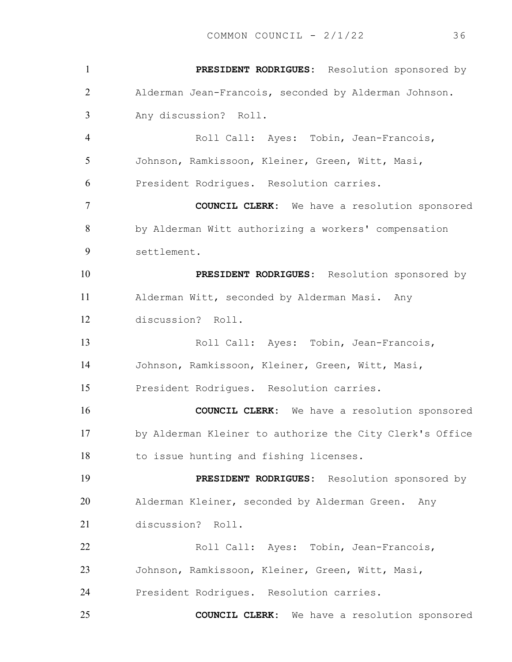**PRESIDENT RODRIGUES:** Resolution sponsored by Alderman Jean-Francois, seconded by Alderman Johnson. Any discussion? Roll. Roll Call: Ayes: Tobin, Jean-Francois, Johnson, Ramkissoon, Kleiner, Green, Witt, Masi, President Rodrigues. Resolution carries. **COUNCIL CLERK:** We have a resolution sponsored by Alderman Witt authorizing a workers' compensation settlement. **PRESIDENT RODRIGUES:** Resolution sponsored by Alderman Witt, seconded by Alderman Masi. Any discussion? Roll. Roll Call: Ayes: Tobin, Jean-Francois, Johnson, Ramkissoon, Kleiner, Green, Witt, Masi, President Rodrigues. Resolution carries. **COUNCIL CLERK:** We have a resolution sponsored by Alderman Kleiner to authorize the City Clerk's Office to issue hunting and fishing licenses. **PRESIDENT RODRIGUES:** Resolution sponsored by Alderman Kleiner, seconded by Alderman Green. Any discussion? Roll. Roll Call: Ayes: Tobin, Jean-Francois, Johnson, Ramkissoon, Kleiner, Green, Witt, Masi, President Rodrigues. Resolution carries. **COUNCIL CLERK:** We have a resolution sponsored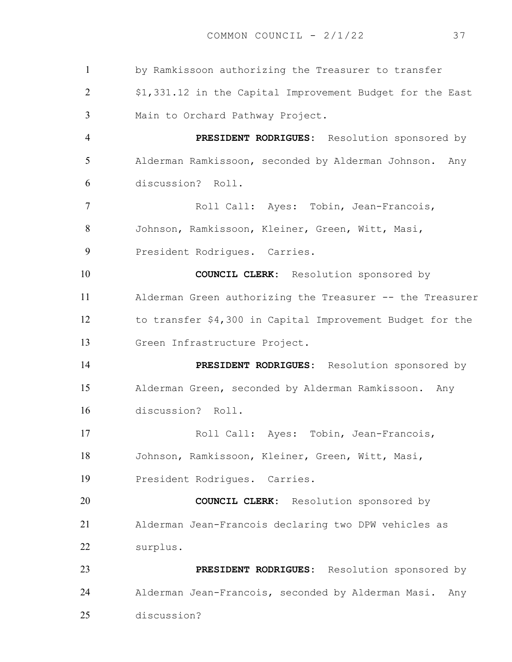by Ramkissoon authorizing the Treasurer to transfer \$1,331.12 in the Capital Improvement Budget for the East Main to Orchard Pathway Project. **PRESIDENT RODRIGUES:** Resolution sponsored by Alderman Ramkissoon, seconded by Alderman Johnson. Any discussion? Roll. Roll Call: Ayes: Tobin, Jean-Francois, Johnson, Ramkissoon, Kleiner, Green, Witt, Masi, 9 President Rodriques. Carries. **COUNCIL CLERK:** Resolution sponsored by Alderman Green authorizing the Treasurer -- the Treasurer to transfer \$4,300 in Capital Improvement Budget for the Green Infrastructure Project. **PRESIDENT RODRIGUES:** Resolution sponsored by Alderman Green, seconded by Alderman Ramkissoon. Any discussion? Roll. Roll Call: Ayes: Tobin, Jean-Francois, Johnson, Ramkissoon, Kleiner, Green, Witt, Masi, President Rodrigues. Carries. **COUNCIL CLERK:** Resolution sponsored by Alderman Jean-Francois declaring two DPW vehicles as surplus. **PRESIDENT RODRIGUES:** Resolution sponsored by Alderman Jean-Francois, seconded by Alderman Masi. Any discussion?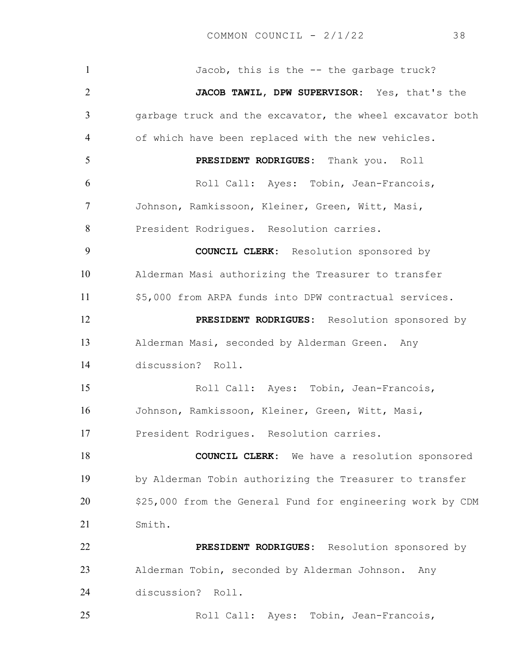1 Jacob, this is the -- the garbage truck? **JACOB TAWIL, DPW SUPERVISOR:** Yes, that's the garbage truck and the excavator, the wheel excavator both of which have been replaced with the new vehicles. **PRESIDENT RODRIGUES:** Thank you. Roll Roll Call: Ayes: Tobin, Jean-Francois, Johnson, Ramkissoon, Kleiner, Green, Witt, Masi, President Rodrigues. Resolution carries. **COUNCIL CLERK:** Resolution sponsored by Alderman Masi authorizing the Treasurer to transfer \$5,000 from ARPA funds into DPW contractual services. **PRESIDENT RODRIGUES:** Resolution sponsored by Alderman Masi, seconded by Alderman Green. Any discussion? Roll. Roll Call: Ayes: Tobin, Jean-Francois, Johnson, Ramkissoon, Kleiner, Green, Witt, Masi, President Rodrigues. Resolution carries. **COUNCIL CLERK:** We have a resolution sponsored by Alderman Tobin authorizing the Treasurer to transfer \$25,000 from the General Fund for engineering work by CDM Smith. **PRESIDENT RODRIGUES:** Resolution sponsored by Alderman Tobin, seconded by Alderman Johnson. Any discussion? Roll. Roll Call: Ayes: Tobin, Jean-Francois,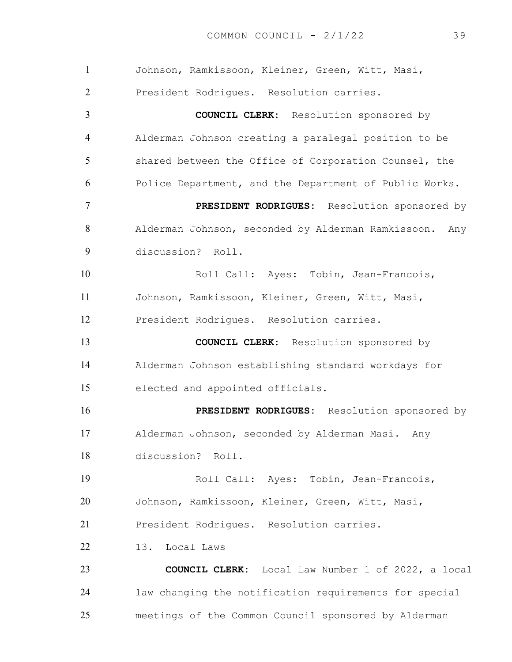| $\mathbf{1}$   | Johnson, Ramkissoon, Kleiner, Green, Witt, Masi,          |
|----------------|-----------------------------------------------------------|
| $\overline{2}$ | President Rodrigues. Resolution carries.                  |
| $\overline{3}$ | <b>COUNCIL CLERK:</b> Resolution sponsored by             |
| $\overline{4}$ | Alderman Johnson creating a paralegal position to be      |
| 5              | shared between the Office of Corporation Counsel, the     |
| 6              | Police Department, and the Department of Public Works.    |
| $\tau$         | PRESIDENT RODRIGUES: Resolution sponsored by              |
| 8              | Alderman Johnson, seconded by Alderman Ramkissoon.<br>Any |
| 9              | discussion? Roll.                                         |
| 10             | Roll Call: Ayes: Tobin, Jean-Francois,                    |
| 11             | Johnson, Ramkissoon, Kleiner, Green, Witt, Masi,          |
| 12             | President Rodrigues. Resolution carries.                  |
| 13             | <b>COUNCIL CLERK:</b> Resolution sponsored by             |
| 14             | Alderman Johnson establishing standard workdays for       |
| 15             | elected and appointed officials.                          |
| 16             | PRESIDENT RODRIGUES: Resolution sponsored by              |
| 17             | Alderman Johnson, seconded by Alderman Masi. Any          |
| 18             | discussion? Roll.                                         |
| 19             | Roll Call: Ayes: Tobin, Jean-Francois,                    |
| 20             | Johnson, Ramkissoon, Kleiner, Green, Witt, Masi,          |
| 21             | President Rodriques. Resolution carries.                  |
| 22             | Local Laws<br>13.                                         |
| 23             | <b>COUNCIL CLERK:</b> Local Law Number 1 of 2022, a local |
| 24             | law changing the notification requirements for special    |
| 25             | meetings of the Common Council sponsored by Alderman      |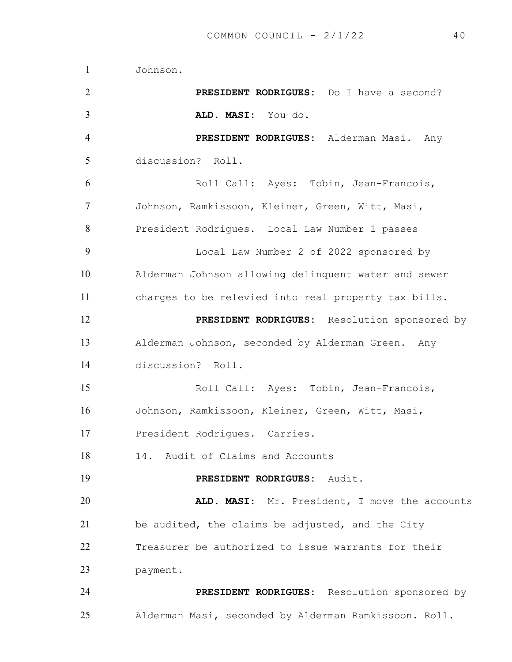Johnson. **PRESIDENT RODRIGUES:** Do I have a second? **ALD. MASI:** You do. **PRESIDENT RODRIGUES:** Alderman Masi. Any discussion? Roll. Roll Call: Ayes: Tobin, Jean-Francois, Johnson, Ramkissoon, Kleiner, Green, Witt, Masi, President Rodrigues. Local Law Number 1 passes Local Law Number 2 of 2022 sponsored by Alderman Johnson allowing delinquent water and sewer charges to be relevied into real property tax bills. **PRESIDENT RODRIGUES:** Resolution sponsored by Alderman Johnson, seconded by Alderman Green. Any discussion? Roll. Roll Call: Ayes: Tobin, Jean-Francois, Johnson, Ramkissoon, Kleiner, Green, Witt, Masi, President Rodrigues. Carries. 14. Audit of Claims and Accounts **PRESIDENT RODRIGUES:** Audit. **ALD. MASI:** Mr. President, I move the accounts be audited, the claims be adjusted, and the City Treasurer be authorized to issue warrants for their payment. **PRESIDENT RODRIGUES:** Resolution sponsored by Alderman Masi, seconded by Alderman Ramkissoon. Roll.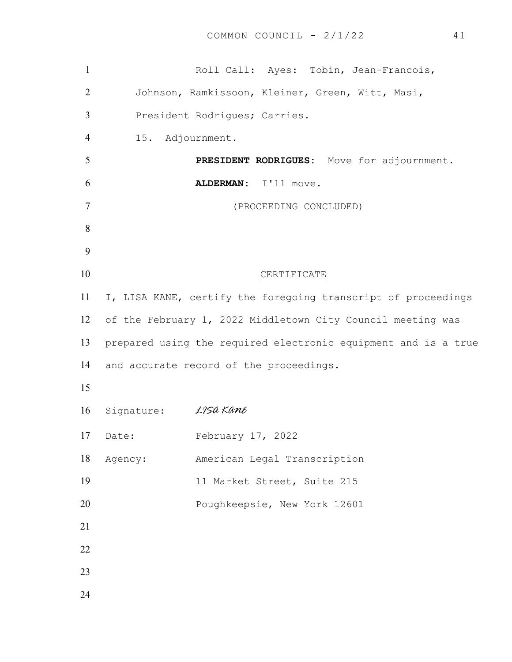| $\mathbf{1}$   |                                                             | Roll Call: Ayes: Tobin, Jean-Francois,           |                        |  |                                                                |
|----------------|-------------------------------------------------------------|--------------------------------------------------|------------------------|--|----------------------------------------------------------------|
| $\overline{2}$ |                                                             | Johnson, Ramkissoon, Kleiner, Green, Witt, Masi, |                        |  |                                                                |
| 3              |                                                             | President Rodrigues; Carries.                    |                        |  |                                                                |
| 4              | 15. Adjournment.                                            |                                                  |                        |  |                                                                |
| 5              |                                                             |                                                  |                        |  | PRESIDENT RODRIGUES: Move for adjournment.                     |
| 6              |                                                             | ALDERMAN: I'll move.                             |                        |  |                                                                |
| $\overline{7}$ |                                                             |                                                  | (PROCEEDING CONCLUDED) |  |                                                                |
| 8              |                                                             |                                                  |                        |  |                                                                |
| 9              |                                                             |                                                  |                        |  |                                                                |
| 10             |                                                             |                                                  | CERTIFICATE            |  |                                                                |
| 11             |                                                             |                                                  |                        |  | I, LISA KANE, certify the foregoing transcript of proceedings  |
| 12             | of the February 1, 2022 Middletown City Council meeting was |                                                  |                        |  |                                                                |
| 13             |                                                             |                                                  |                        |  | prepared using the required electronic equipment and is a true |
| 14             | and accurate record of the proceedings.                     |                                                  |                        |  |                                                                |
| 15             |                                                             |                                                  |                        |  |                                                                |
| 16             | Signature: <i>LISA Kane</i>                                 |                                                  |                        |  |                                                                |
|                | 17 Date: February 17, 2022                                  |                                                  |                        |  |                                                                |
| 18             | Agency:                                                     | American Legal Transcription                     |                        |  |                                                                |
| 19             |                                                             | 11 Market Street, Suite 215                      |                        |  |                                                                |
| 20             |                                                             | Poughkeepsie, New York 12601                     |                        |  |                                                                |
| 21             |                                                             |                                                  |                        |  |                                                                |
| 22             |                                                             |                                                  |                        |  |                                                                |
| 23             |                                                             |                                                  |                        |  |                                                                |
| 24             |                                                             |                                                  |                        |  |                                                                |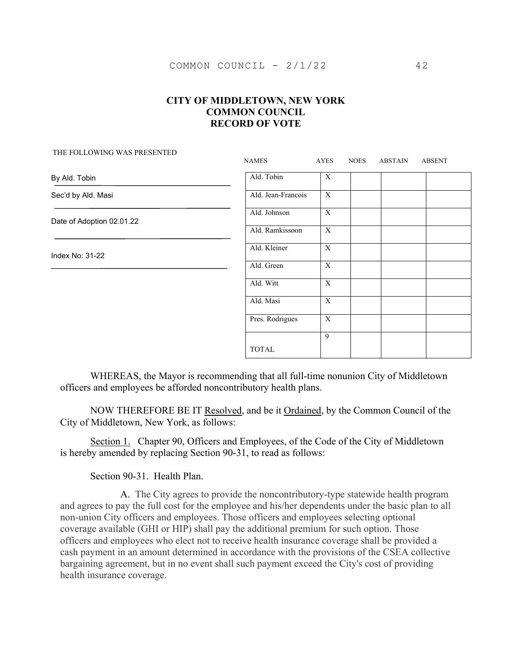| THE FOLLOWING WAS LIKESENTED | <b>NAMES</b>       | AYES           | <b>NOES</b> | ABSTAIN | <b>ABSENT</b> |
|------------------------------|--------------------|----------------|-------------|---------|---------------|
| By Ald. Tobin                | Ald. Tobin         | $\mathbf{X}$   |             |         |               |
| Sec'd by Ald. Masi           | Ald. Jean-Francois | $\mathbf X$    |             |         |               |
| Date of Adoption 02.01.22    | Ald. Johnson       | $\mathbf{X}$   |             |         |               |
|                              | Ald. Ramkissoon    | $\overline{X}$ |             |         |               |
| Index No: 31-22              | Ald. Kleiner       | $\mathbf X$    |             |         |               |
|                              | Ald. Green         | $\mathbf{X}$   |             |         |               |
|                              | Ald. Witt          | $\mathbf X$    |             |         |               |
|                              | Ald. Masi          | $\mathbf X$    |             |         |               |
|                              | Pres. Rodrigues    | X              |             |         |               |
|                              |                    | 9              |             |         |               |
|                              | <b>TOTAL</b>       |                |             |         |               |

WHEREAS, the Mayor is recommending that all full-time nonunion City of Middletown officers and employees be afforded noncontributory health plans.

NOW THEREFORE BE IT Resolved, and be it Ordained, by the Common Council of the City of Middletown, New York, as follows:

Section 1. Chapter 90, Officers and Employees, of the Code of the City of Middletown is hereby amended by replacing Section 90-31, to read as follows:

Section 90-31. Health Plan.

THE FOLLOWING WAS PRESENTED

 A. The City agrees to provide the noncontributory-type statewide health program and agrees to pay the full cost for the employee and his/her dependents under the basic plan to all non-union City officers and employees. Those officers and employees selecting optional coverage available (GHI or HIP) shall pay the additional premium for such option. Those officers and employees who elect not to receive health insurance coverage shall be provided a cash payment in an amount determined in accordance with the provisions of the CSEA collective bargaining agreement, but in no event shall such payment exceed the City's cost of providing health insurance coverage.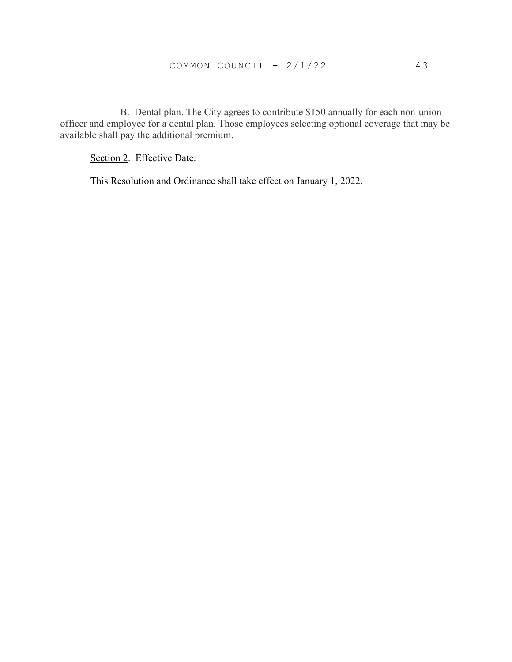B. Dental plan. The City agrees to contribute \$150 annually for each non-union officer and employee for a dental plan. Those employees selecting optional coverage that may be available shall pay the additional premium.

Section 2. Effective Date.

This Resolution and Ordinance shall take effect on January 1, 2022.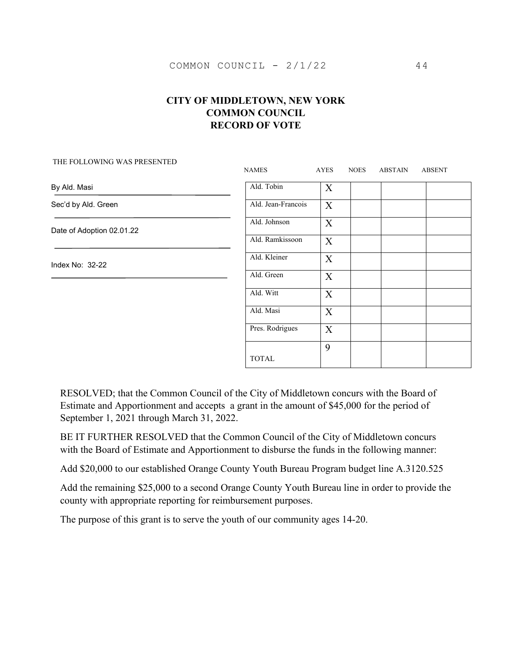|                           | <b>NAMES</b>       | <b>AYES</b> | <b>NOES</b> | ABSTAIN | <b>ABSENT</b> |
|---------------------------|--------------------|-------------|-------------|---------|---------------|
| By Ald. Masi              | Ald. Tobin         | X           |             |         |               |
| Sec'd by Ald. Green       | Ald. Jean-Francois | X           |             |         |               |
| Date of Adoption 02.01.22 | Ald. Johnson       | X           |             |         |               |
|                           | Ald. Ramkissoon    | X           |             |         |               |
| Index No: 32-22           | Ald. Kleiner       | $\mathbf X$ |             |         |               |
|                           | Ald. Green         | X           |             |         |               |
|                           | Ald. Witt          | X           |             |         |               |
|                           | Ald. Masi          | X           |             |         |               |
|                           | Pres. Rodrigues    | X           |             |         |               |
|                           |                    | 9           |             |         |               |
|                           | <b>TOTAL</b>       |             |             |         |               |

#### THE FOLLOWING WAS PRESENTED

RESOLVED; that the Common Council of the City of Middletown concurs with the Board of Estimate and Apportionment and accepts a grant in the amount of \$45,000 for the period of September 1, 2021 through March 31, 2022.

BE IT FURTHER RESOLVED that the Common Council of the City of Middletown concurs with the Board of Estimate and Apportionment to disburse the funds in the following manner:

Add \$20,000 to our established Orange County Youth Bureau Program budget line A.3120.525

Add the remaining \$25,000 to a second Orange County Youth Bureau line in order to provide the county with appropriate reporting for reimbursement purposes.

The purpose of this grant is to serve the youth of our community ages 14-20.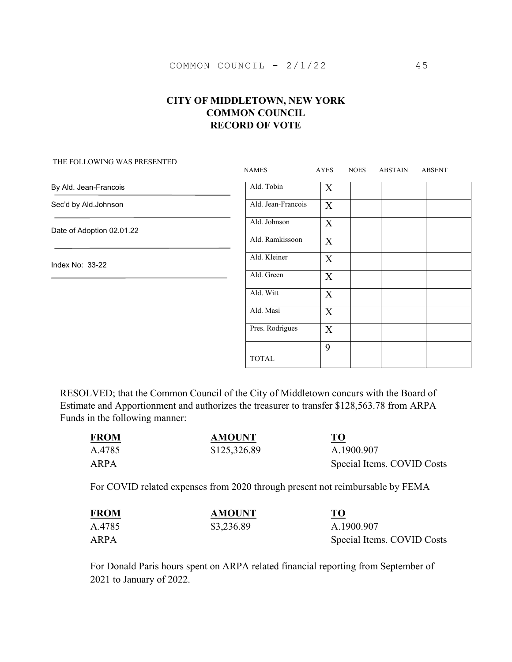THE FOLLOWING WAS PRESENTED

# NAMES AYES NOES ABSTAIN ABSENT Ald. Tobin X Ald. Jean-Francois  $\overline{X}$ Ald. Johnson X Ald. Ramkissoon X Ald. Kleiner X Ald. Green X Ald. Witt X Ald. Masi X Pres. Rodrigues  $\mathbf{X}$ TOTAL 9 By Ald. Jean-Francois Sec'd by Ald.Johnson Date of Adoption 02.01.22 Index No: 33-22

RESOLVED; that the Common Council of the City of Middletown concurs with the Board of Estimate and Apportionment and authorizes the treasurer to transfer \$128,563.78 from ARPA Funds in the following manner:

| <b>FROM</b> | <b>AMOUNT</b> | <b>TO</b><br><u>- - </u>   |
|-------------|---------------|----------------------------|
| A.4785      | \$125,326.89  | A.1900.907                 |
| ARPA        |               | Special Items. COVID Costs |

For COVID related expenses from 2020 through present not reimbursable by FEMA

| <b>FROM</b> | <b>AMOUNT</b> | <b>TO</b>                  |
|-------------|---------------|----------------------------|
| A.4785      | \$3,236.89    | A.1900.907                 |
| ARPA        |               | Special Items. COVID Costs |

For Donald Paris hours spent on ARPA related financial reporting from September of 2021 to January of 2022.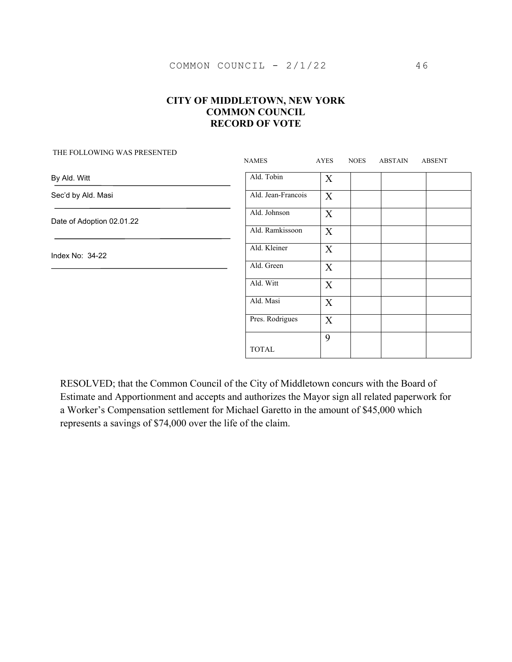| THE FOLLOWING WAS PRESENTED | <b>NAMES</b>       | AYES             | <b>NOES</b> | ABSTAIN | <b>ABSENT</b> |
|-----------------------------|--------------------|------------------|-------------|---------|---------------|
| By Ald. Witt                | Ald. Tobin         | X                |             |         |               |
| Sec'd by Ald. Masi          | Ald. Jean-Francois | X                |             |         |               |
| Date of Adoption 02.01.22   | Ald. Johnson       | X                |             |         |               |
|                             | Ald. Ramkissoon    | X                |             |         |               |
| Index No: 34-22             | Ald. Kleiner       | X                |             |         |               |
|                             | Ald. Green         | X                |             |         |               |
|                             | Ald. Witt          | X                |             |         |               |
|                             | Ald. Masi          | $\boldsymbol{X}$ |             |         |               |
|                             | Pres. Rodrigues    | X                |             |         |               |
|                             |                    | 9                |             |         |               |
|                             | <b>TOTAL</b>       |                  |             |         |               |

RESOLVED; that the Common Council of the City of Middletown concurs with the Board of Estimate and Apportionment and accepts and authorizes the Mayor sign all related paperwork for a Worker's Compensation settlement for Michael Garetto in the amount of \$45,000 which represents a savings of \$74,000 over the life of the claim.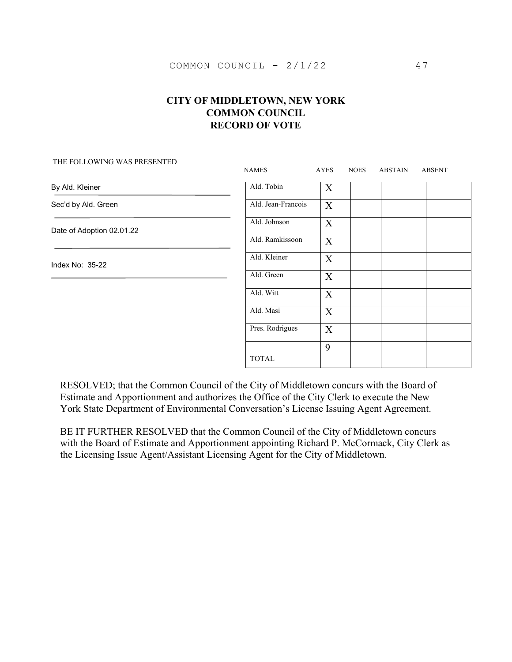|                           | <b>NAMES</b>       | AYES             | <b>NOES</b> | <b>ABSTAIN</b> | <b>ABSENT</b> |
|---------------------------|--------------------|------------------|-------------|----------------|---------------|
| By Ald. Kleiner           | Ald. Tobin         | X                |             |                |               |
| Sec'd by Ald. Green       | Ald. Jean-Francois | X                |             |                |               |
| Date of Adoption 02.01.22 | Ald. Johnson       | X                |             |                |               |
|                           | Ald. Ramkissoon    | $\mathbf X$      |             |                |               |
| Index No: 35-22           | Ald. Kleiner       | $\mathbf X$      |             |                |               |
|                           | Ald. Green         | $\boldsymbol{X}$ |             |                |               |
|                           | Ald. Witt          | X                |             |                |               |
|                           | Ald. Masi          | X                |             |                |               |
|                           | Pres. Rodrigues    | $\boldsymbol{X}$ |             |                |               |
|                           | <b>TOTAL</b>       | 9                |             |                |               |

#### THE FOLLOWING WAS PRESENTED

RESOLVED; that the Common Council of the City of Middletown concurs with the Board of Estimate and Apportionment and authorizes the Office of the City Clerk to execute the New York State Department of Environmental Conversation's License Issuing Agent Agreement.

BE IT FURTHER RESOLVED that the Common Council of the City of Middletown concurs with the Board of Estimate and Apportionment appointing Richard P. McCormack, City Clerk as the Licensing Issue Agent/Assistant Licensing Agent for the City of Middletown.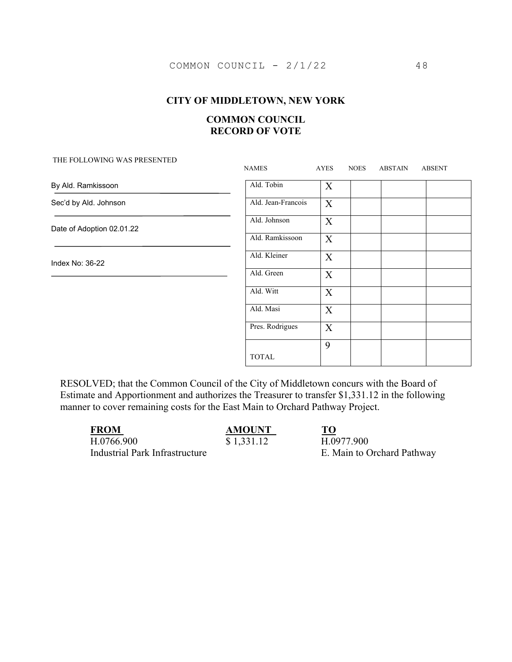#### **CITY OF MIDDLETOWN, NEW YORK**

### **COMMON COUNCIL RECORD OF VOTE**

# NAMES AYES NOES ABSTAIN ABSENT Ald. Tobin X Ald. Jean-Francois X Ald. Johnson X Ald. Ramkissoon X Ald. Kleiner X Ald. Green X Ald. Witt X Ald. Masi X Pres. Rodrigues X TOTAL 9 By Ald. Ramkissoon Sec'd by Ald. Johnson Date of Adoption 02.01.22 Index No: 36-22

RESOLVED; that the Common Council of the City of Middletown concurs with the Board of Estimate and Apportionment and authorizes the Treasurer to transfer \$1,331.12 in the following manner to cover remaining costs for the East Main to Orchard Pathway Project.

| <b>FROM</b>                    | <b>AMOUNT</b> | TO                         |
|--------------------------------|---------------|----------------------------|
| H.0766.900                     | \$1,331.12    | H.0977.900                 |
| Industrial Park Infrastructure |               | E. Main to Orchard Pathway |

#### THE FOLLOWING WAS PRESENTED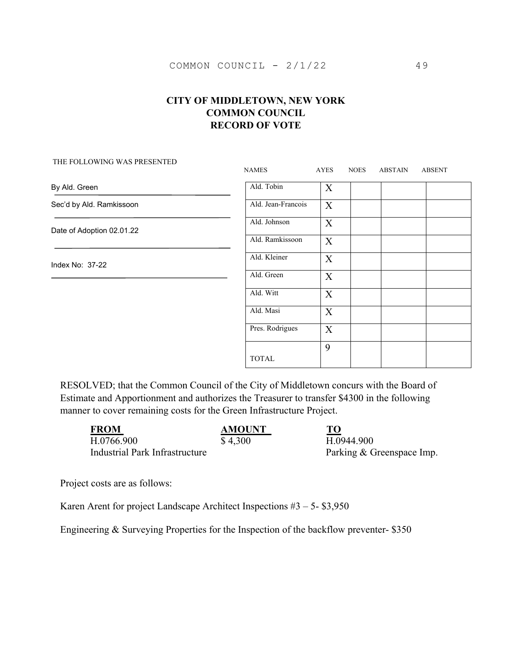# NAMES AYES NOES ABSTAIN ABSENT Ald. Tobin X Ald. Jean-Francois  $\overline{X}$ Ald. Johnson X Ald. Ramkissoon X Ald. Kleiner X Ald. Green X Ald. Witt X Ald. Masi X Pres. Rodrigues  $\mathbf{X}$ TOTAL 9 By Ald. Green Sec'd by Ald. Ramkissoon Date of Adoption 02.01.22 Index No: 37-22

#### THE FOLLOWING WAS PRESENTED

RESOLVED; that the Common Council of the City of Middletown concurs with the Board of Estimate and Apportionment and authorizes the Treasurer to transfer \$4300 in the following manner to cover remaining costs for the Green Infrastructure Project.

| <b>FROM</b>                    | <b>AMOUNT</b> | <b>TO</b>                 |
|--------------------------------|---------------|---------------------------|
| H.0766.900                     | \$4,300       | H.0944.900                |
| Industrial Park Infrastructure |               | Parking & Greenspace Imp. |

Project costs are as follows:

Karen Arent for project Landscape Architect Inspections  $#3 - 5 - $3,950$ 

Engineering & Surveying Properties for the Inspection of the backflow preventer- \$350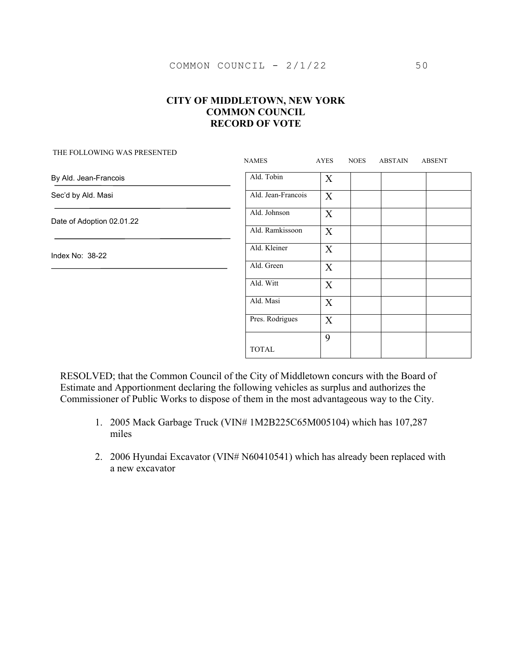| THE FOLLOWING WAS PRESENTED | <b>NAMES</b>       | AYES             | <b>NOES</b> | ABSTAIN | <b>ABSENT</b> |
|-----------------------------|--------------------|------------------|-------------|---------|---------------|
| By Ald. Jean-Francois       | Ald. Tobin         | $\boldsymbol{X}$ |             |         |               |
| Sec'd by Ald. Masi          | Ald. Jean-Francois | X                |             |         |               |
| Date of Adoption 02.01.22   | Ald. Johnson       | X                |             |         |               |
|                             | Ald. Ramkissoon    | X                |             |         |               |
| Index No: 38-22             | Ald. Kleiner       | X                |             |         |               |
|                             | Ald. Green         | X                |             |         |               |
|                             | Ald. Witt          | $\boldsymbol{X}$ |             |         |               |
|                             | Ald. Masi          | $\boldsymbol{X}$ |             |         |               |
|                             | Pres. Rodrigues    | $\boldsymbol{X}$ |             |         |               |
|                             |                    | 9                |             |         |               |
|                             | <b>TOTAL</b>       |                  |             |         |               |

RESOLVED; that the Common Council of the City of Middletown concurs with the Board of Estimate and Apportionment declaring the following vehicles as surplus and authorizes the Commissioner of Public Works to dispose of them in the most advantageous way to the City.

- 1. 2005 Mack Garbage Truck (VIN# 1M2B225C65M005104) which has 107,287 miles
- 2. 2006 Hyundai Excavator (VIN# N60410541) which has already been replaced with a new excavator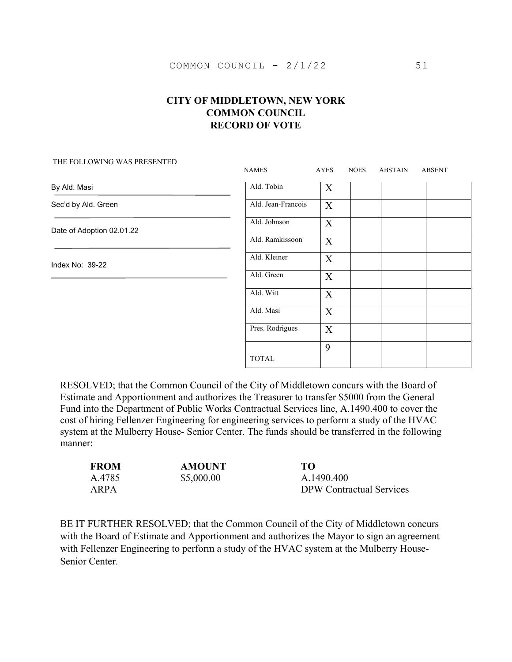|                           | <b>NAMES</b>       | AYES                      | <b>NOES</b> | ABSTAIN | <b>ABSENT</b> |
|---------------------------|--------------------|---------------------------|-------------|---------|---------------|
| By Ald. Masi              | Ald. Tobin         | $\boldsymbol{\mathrm{X}}$ |             |         |               |
| Sec'd by Ald. Green       | Ald. Jean-Francois | $\boldsymbol{X}$          |             |         |               |
| Date of Adoption 02.01.22 | Ald. Johnson       | X                         |             |         |               |
|                           | Ald. Ramkissoon    | $\boldsymbol{X}$          |             |         |               |
| Index No: 39-22           | Ald. Kleiner       | $\boldsymbol{X}$          |             |         |               |
|                           | Ald. Green         | X                         |             |         |               |
|                           | Ald. Witt          | $\boldsymbol{\mathrm{X}}$ |             |         |               |
|                           | Ald. Masi          | $\boldsymbol{\mathrm{X}}$ |             |         |               |
|                           | Pres. Rodrigues    | X                         |             |         |               |
|                           | <b>TOTAL</b>       | 9                         |             |         |               |

#### THE FOLLOWING WAS PRESENTED

RESOLVED; that the Common Council of the City of Middletown concurs with the Board of Estimate and Apportionment and authorizes the Treasurer to transfer \$5000 from the General Fund into the Department of Public Works Contractual Services line, A.1490.400 to cover the cost of hiring Fellenzer Engineering for engineering services to perform a study of the HVAC system at the Mulberry House- Senior Center. The funds should be transferred in the following manner:

| <b>FROM</b> | <b>AMOUNT</b> | TО                              |
|-------------|---------------|---------------------------------|
| A.4785      | \$5,000.00    | A.1490.400                      |
| ARPA        |               | <b>DPW</b> Contractual Services |

BE IT FURTHER RESOLVED; that the Common Council of the City of Middletown concurs with the Board of Estimate and Apportionment and authorizes the Mayor to sign an agreement with Fellenzer Engineering to perform a study of the HVAC system at the Mulberry House-Senior Center.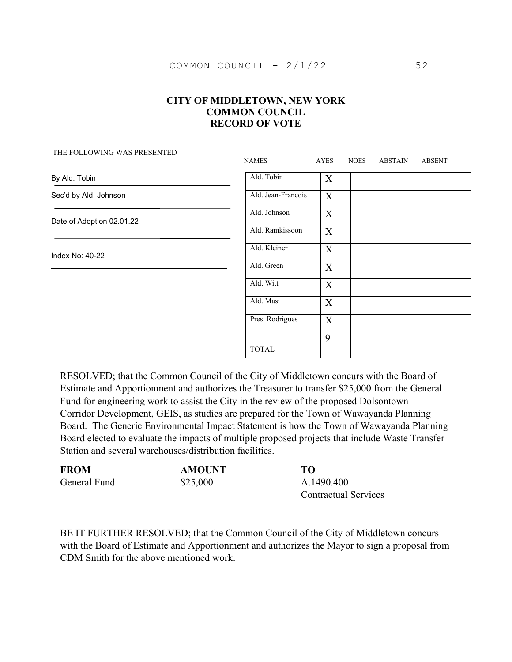| THE FOLLOWING WAS PRESENTED | <b>NAMES</b>       | AYES             | <b>NOES</b> | <b>ABSTAIN</b> | <b>ABSENT</b> |
|-----------------------------|--------------------|------------------|-------------|----------------|---------------|
| By Ald. Tobin               | Ald. Tobin         | X                |             |                |               |
| Sec'd by Ald. Johnson       | Ald. Jean-Francois | X                |             |                |               |
| Date of Adoption 02.01.22   | Ald. Johnson       | X                |             |                |               |
|                             | Ald. Ramkissoon    | X                |             |                |               |
| Index No: 40-22             | Ald. Kleiner       | $\mathbf X$      |             |                |               |
|                             | Ald. Green         | $\boldsymbol{X}$ |             |                |               |
|                             | Ald. Witt          | X                |             |                |               |
|                             | Ald. Masi          | X                |             |                |               |
|                             | Pres. Rodrigues    | X                |             |                |               |
|                             | <b>TOTAL</b>       | 9                |             |                |               |

RESOLVED; that the Common Council of the City of Middletown concurs with the Board of Estimate and Apportionment and authorizes the Treasurer to transfer \$25,000 from the General Fund for engineering work to assist the City in the review of the proposed Dolsontown Corridor Development, GEIS, as studies are prepared for the Town of Wawayanda Planning Board. The Generic Environmental Impact Statement is how the Town of Wawayanda Planning Board elected to evaluate the impacts of multiple proposed projects that include Waste Transfer Station and several warehouses/distribution facilities.

| <b>FROM</b>  | <b>AMOUNT</b> | TО                          |  |  |
|--------------|---------------|-----------------------------|--|--|
| General Fund | \$25,000      | A.1490.400                  |  |  |
|              |               | <b>Contractual Services</b> |  |  |

BE IT FURTHER RESOLVED; that the Common Council of the City of Middletown concurs with the Board of Estimate and Apportionment and authorizes the Mayor to sign a proposal from CDM Smith for the above mentioned work.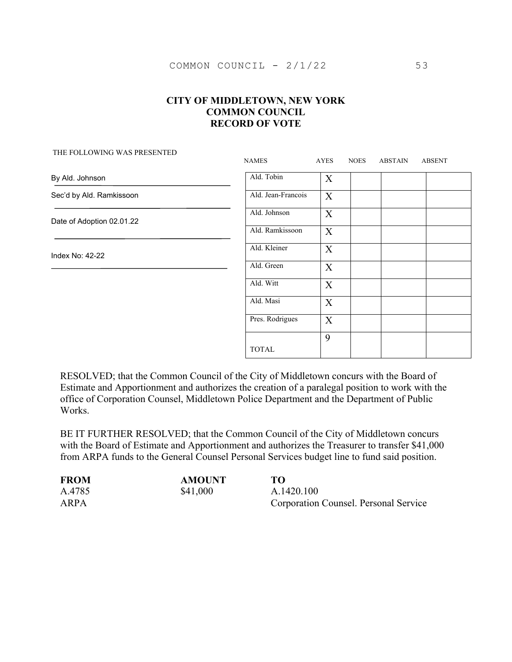THE FOLLOWING WAS PRESENTED

| THE FOLLOWING WAS LINESENTED | <b>NAMES</b>       | AYES                      | <b>NOES</b> | <b>ABSTAIN</b> | <b>ABSENT</b> |
|------------------------------|--------------------|---------------------------|-------------|----------------|---------------|
| By Ald. Johnson              | Ald. Tobin         | $\boldsymbol{\mathrm{X}}$ |             |                |               |
| Sec'd by Ald. Ramkissoon     | Ald. Jean-Francois | X                         |             |                |               |
| Date of Adoption 02.01.22    | Ald. Johnson       | X                         |             |                |               |
|                              | Ald. Ramkissoon    | X                         |             |                |               |
| Index No: 42-22              | Ald. Kleiner       | X                         |             |                |               |
|                              | Ald. Green         | $\boldsymbol{X}$          |             |                |               |
|                              | Ald. Witt          | $\boldsymbol{X}$          |             |                |               |
|                              | Ald. Masi          | $\boldsymbol{X}$          |             |                |               |
|                              | Pres. Rodrigues    | X                         |             |                |               |
|                              | <b>TOTAL</b>       | 9                         |             |                |               |

RESOLVED; that the Common Council of the City of Middletown concurs with the Board of Estimate and Apportionment and authorizes the creation of a paralegal position to work with the office of Corporation Counsel, Middletown Police Department and the Department of Public Works.

BE IT FURTHER RESOLVED; that the Common Council of the City of Middletown concurs with the Board of Estimate and Apportionment and authorizes the Treasurer to transfer \$41,000 from ARPA funds to the General Counsel Personal Services budget line to fund said position.

| <b>FROM</b> | <b>AMOUNT</b> | TО                                    |
|-------------|---------------|---------------------------------------|
| A.4785      | \$41,000      | A.1420.100                            |
| ARPA        |               | Corporation Counsel. Personal Service |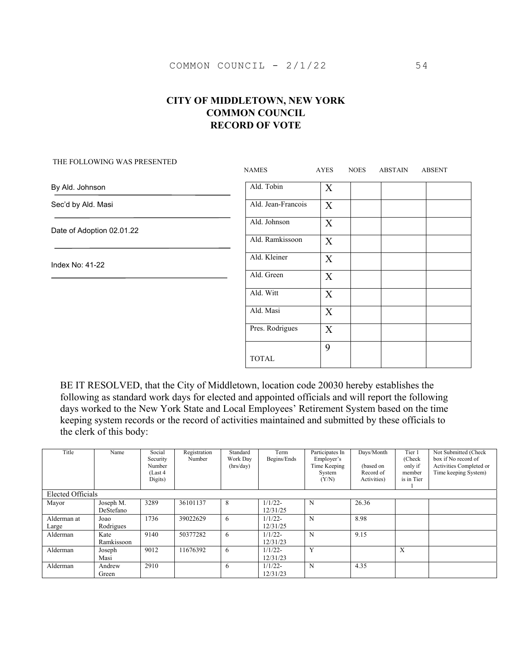# NAMES AYES NOES ABSTAIN ABSENT Ald. Tobin X Ald. Jean-Francois  $\overline{X}$ Ald. Johnson X Ald. Ramkissoon X Ald. Kleiner X Ald. Green X Ald. Witt X Ald. Masi X Pres. Rodrigues  $\mathbf{X}$ TOTAL 9 By Ald. Johnson Sec'd by Ald. Masi Date of Adoption 02.01.22 Index No: 41-22

#### THE FOLLOWING WAS PRESENTED

BE IT RESOLVED, that the City of Middletown, location code 20030 hereby establishes the following as standard work days for elected and appointed officials and will report the following days worked to the New York State and Local Employees' Retirement System based on the time keeping system records or the record of activities maintained and submitted by these officials to the clerk of this body:

| Title             | Name       | Social<br>Security<br>Number<br>(Last 4)<br>Digits) | Registration<br>Number | Standard<br>Work Day<br>(hrs/day) | Term<br>Begins/Ends | Participates In<br>Employer's<br>Time Keeping<br>System<br>(Y/N) | Days/Month<br>(based on<br>Record of<br>Activities) | Tier 1<br>(Check<br>only if<br>member<br>is in Tier | Not Submitted (Check<br>box if No record of<br>Activities Completed or<br>Time keeping System) |
|-------------------|------------|-----------------------------------------------------|------------------------|-----------------------------------|---------------------|------------------------------------------------------------------|-----------------------------------------------------|-----------------------------------------------------|------------------------------------------------------------------------------------------------|
| Elected Officials |            |                                                     |                        |                                   |                     |                                                                  |                                                     |                                                     |                                                                                                |
| Mayor             | Joseph M.  | 3289                                                | 36101137               | 8                                 | $1/1/22$ -          | N                                                                | 26.36                                               |                                                     |                                                                                                |
|                   | DeStefano  |                                                     |                        |                                   | 12/31/25            |                                                                  |                                                     |                                                     |                                                                                                |
| Alderman at       | Joao       | 1736                                                | 39022629               | 6                                 | $1/1/22$ -          | N                                                                | 8.98                                                |                                                     |                                                                                                |
| Large             | Rodrigues  |                                                     |                        |                                   | 12/31/25            |                                                                  |                                                     |                                                     |                                                                                                |
| Alderman          | Kate       | 9140                                                | 50377282               | 6                                 | $1/1/22$ -          | N                                                                | 9.15                                                |                                                     |                                                                                                |
|                   | Ramkissoon |                                                     |                        |                                   | 12/31/23            |                                                                  |                                                     |                                                     |                                                                                                |
| Alderman          | Joseph     | 9012                                                | 11676392               | 6                                 | $1/1/22$ -          | Y                                                                |                                                     | X                                                   |                                                                                                |
|                   | Masi       |                                                     |                        |                                   | 12/31/23            |                                                                  |                                                     |                                                     |                                                                                                |
| Alderman          | Andrew     | 2910                                                |                        | 6                                 | $1/1/22$ -          | N                                                                | 4.35                                                |                                                     |                                                                                                |
|                   | Green      |                                                     |                        |                                   | 12/31/23            |                                                                  |                                                     |                                                     |                                                                                                |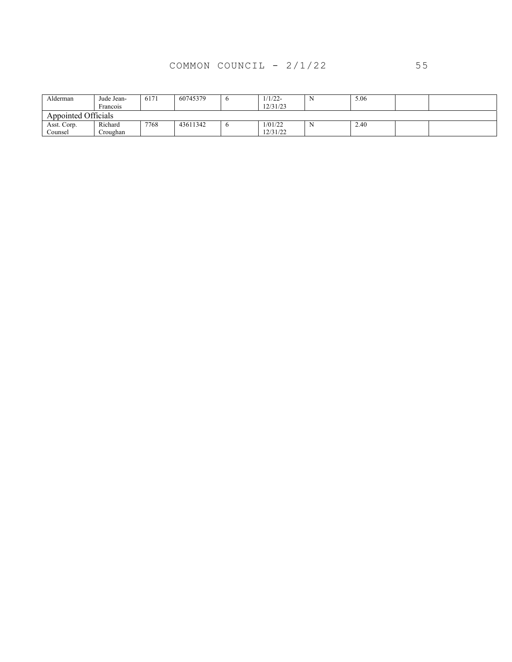# COMMON COUNCIL - 2/1/22 55

| Alderman            | Jude Jean-<br>Francois | 6171 | 60745379 | v            | $1/1/22-$<br>12/31/23 | -IN | 5.06 |  |
|---------------------|------------------------|------|----------|--------------|-----------------------|-----|------|--|
| Appointed Officials |                        |      |          |              |                       |     |      |  |
| Asst. Corp.         | Richard                | 7768 | 43611342 | $\mathbf{o}$ | 1/01/22               | N   | 2.40 |  |
| Counsel             | Croughan               |      |          |              | 12/31/22              |     |      |  |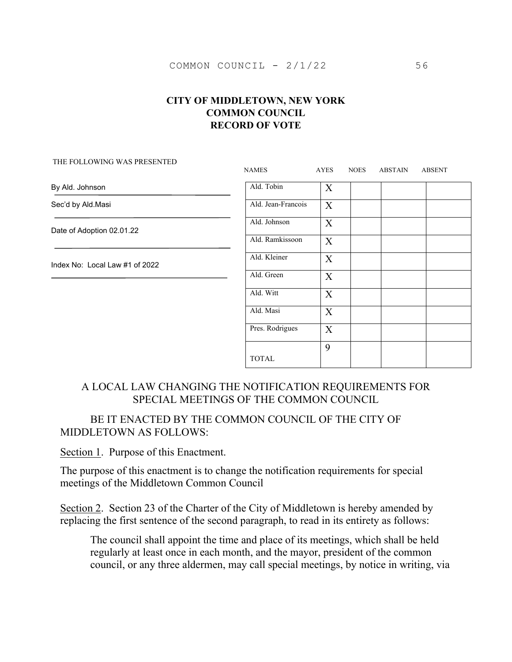|                                | <b>NAMES</b>       | AYES                      | <b>NOES</b> | ABSTAIN | <b>ABSENT</b> |
|--------------------------------|--------------------|---------------------------|-------------|---------|---------------|
| By Ald. Johnson                | Ald. Tobin         | $\boldsymbol{X}$          |             |         |               |
| Sec'd by Ald.Masi              | Ald. Jean-Francois | $\boldsymbol{X}$          |             |         |               |
| Date of Adoption 02.01.22      | Ald. Johnson       | $\boldsymbol{X}$          |             |         |               |
|                                | Ald. Ramkissoon    | $\boldsymbol{\mathrm{X}}$ |             |         |               |
| Index No: Local Law #1 of 2022 | Ald. Kleiner       | X                         |             |         |               |
|                                | Ald. Green         | $\boldsymbol{X}$          |             |         |               |
|                                | Ald. Witt          | $\boldsymbol{\mathrm{X}}$ |             |         |               |
|                                | Ald. Masi          | $\boldsymbol{X}$          |             |         |               |
|                                | Pres. Rodrigues    | $\boldsymbol{X}$          |             |         |               |
|                                |                    | 9                         |             |         |               |
|                                | <b>TOTAL</b>       |                           |             |         |               |

#### THE FOLLOWING WAS PRESENTED

# A LOCAL LAW CHANGING THE NOTIFICATION REQUIREMENTS FOR SPECIAL MEETINGS OF THE COMMON COUNCIL

# BE IT ENACTED BY THE COMMON COUNCIL OF THE CITY OF MIDDLETOWN AS FOLLOWS:

Section 1. Purpose of this Enactment.

The purpose of this enactment is to change the notification requirements for special meetings of the Middletown Common Council

Section 2. Section 23 of the Charter of the City of Middletown is hereby amended by replacing the first sentence of the second paragraph, to read in its entirety as follows:

The council shall appoint the time and place of its meetings, which shall be held regularly at least once in each month, and the mayor, president of the common council, or any three aldermen, may call special meetings, by notice in writing, via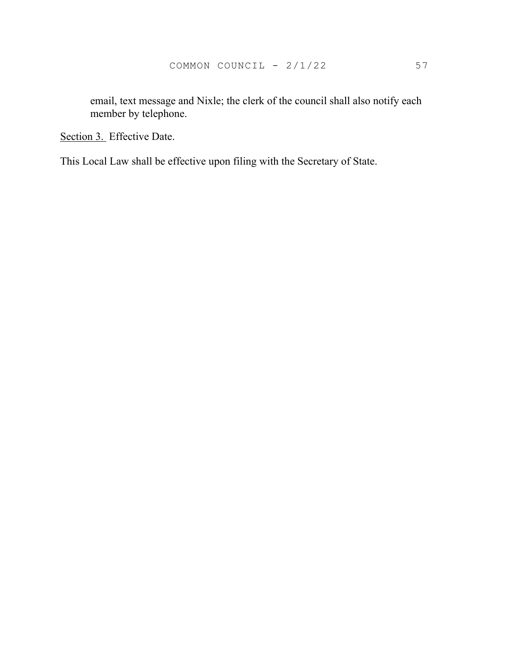email, text message and Nixle; the clerk of the council shall also notify each member by telephone.

Section 3. Effective Date.

This Local Law shall be effective upon filing with the Secretary of State.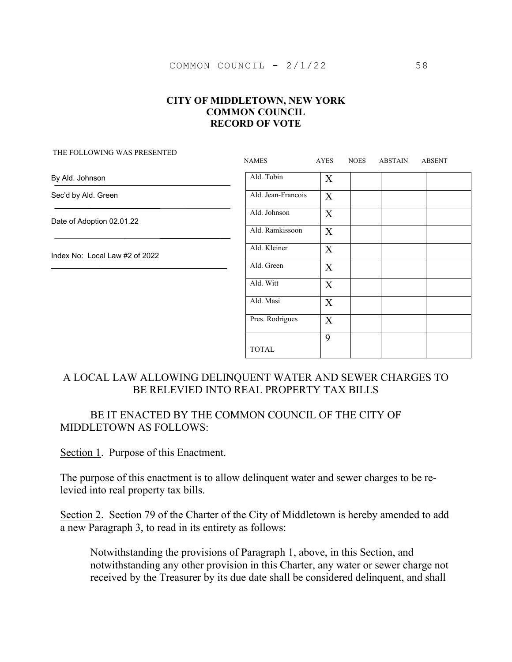| THE FOLLOWING WAS PRESENTED.   | <b>NAMES</b>       | AYES                      | <b>NOES</b> | ABSTAIN | <b>ABSENT</b> |
|--------------------------------|--------------------|---------------------------|-------------|---------|---------------|
| By Ald. Johnson                | Ald. Tobin         | $\boldsymbol{\mathrm{X}}$ |             |         |               |
| Sec'd by Ald. Green            | Ald. Jean-Francois | $\boldsymbol{X}$          |             |         |               |
| Date of Adoption 02.01.22      | Ald. Johnson       | X                         |             |         |               |
|                                | Ald. Ramkissoon    | $\boldsymbol{\mathrm{X}}$ |             |         |               |
| Index No: Local Law #2 of 2022 | Ald. Kleiner       | $\boldsymbol{X}$          |             |         |               |
|                                | Ald. Green         | $\boldsymbol{\mathrm{X}}$ |             |         |               |
|                                | Ald. Witt          | $\boldsymbol{\mathrm{X}}$ |             |         |               |
|                                | Ald. Masi          | $\boldsymbol{\mathrm{X}}$ |             |         |               |
|                                | Pres. Rodrigues    | $\boldsymbol{\mathrm{X}}$ |             |         |               |
|                                | <b>TOTAL</b>       | 9                         |             |         |               |

# A LOCAL LAW ALLOWING DELINQUENT WATER AND SEWER CHARGES TO BE RELEVIED INTO REAL PROPERTY TAX BILLS

# BE IT ENACTED BY THE COMMON COUNCIL OF THE CITY OF MIDDLETOWN AS FOLLOWS:

Section 1. Purpose of this Enactment.

THE FOLLOWING WAS PRESENTED

The purpose of this enactment is to allow delinquent water and sewer charges to be relevied into real property tax bills.

Section 2. Section 79 of the Charter of the City of Middletown is hereby amended to add a new Paragraph 3, to read in its entirety as follows:

Notwithstanding the provisions of Paragraph 1, above, in this Section, and notwithstanding any other provision in this Charter, any water or sewer charge not received by the Treasurer by its due date shall be considered delinquent, and shall